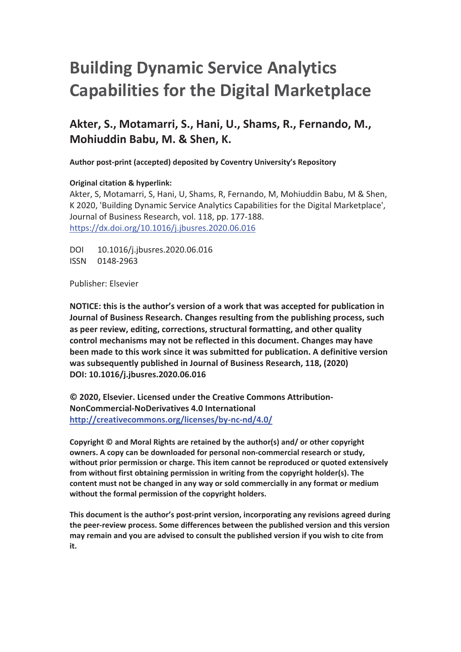# **Building Dynamic Service Analytics Capabilities for the Digital Marketplace**

# **Akter, S., Motamarri, S., Hani, U., Shams, R., Fernando, M., Mohiuddin Babu, M. & Shen, K.**

**Author post-print (accepted) deposited by Coventry University's Repository**

## **Original citation & hyperlink:**

Akter, S, Motamarri, S, Hani, U, Shams, R, Fernando, M, Mohiuddin Babu, M & Shen, K 2020, 'Building Dynamic Service Analytics Capabilities for the Digital Marketplace', Journal of Business Research, vol. 118, pp. 177-188. https://dx.doi.org/10.1016/j.jbusres.2020.06.016

DOI 10.1016/j.jbusres.2020.06.016 ISSN 0148-2963

Publisher: Elsevier

**NOTICE: this is the author's version of a work that was accepted for publication in Journal of Business Research. Changes resulting from the publishing process, such as peer review, editing, corrections, structural formatting, and other quality control mechanisms may not be reflected in this document. Changes may have been made to this work since it was submitted for publication. A definitive version was subsequently published in Journal of Business Research, 118, (2020) DOI: 10.1016/j.jbusres.2020.06.016** 

**© 2020, Elsevier. Licensed under the Creative Commons Attribution-NonCommercial-NoDerivatives 4.0 International http://creativecommons.org/licenses/by-nc-nd/4.0/** 

**Copyright © and Moral Rights are retained by the author(s) and/ or other copyright owners. A copy can be downloaded for personal non-commercial research or study, without prior permission or charge. This item cannot be reproduced or quoted extensively from without first obtaining permission in writing from the copyright holder(s). The content must not be changed in any way or sold commercially in any format or medium without the formal permission of the copyright holders.** 

**This document is the author's post-print version, incorporating any revisions agreed during the peer-review process. Some differences between the published version and this version may remain and you are advised to consult the published version if you wish to cite from it.**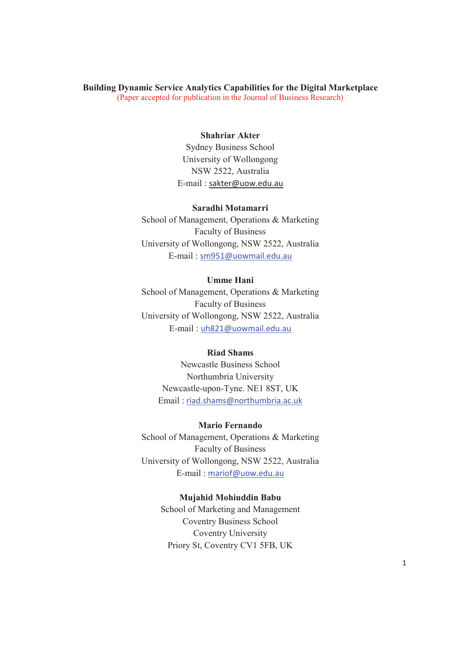#### **Building Dynamic Service Analytics Capabilities for the Digital Marketplace**  (Paper accepted for publication in the Journal of Business Research)

#### **Shahriar Akter**

Sydney Business School University of Wollongong NSW 2522, Australia E-mail : sakter@uow.edu.au

## **Saradhi Motamarri**

School of Management, Operations & Marketing Faculty of Business University of Wollongong, NSW 2522, Australia E-mail : sm951@uowmail.edu.au

## **Umme Hani**

School of Management, Operations & Marketing Faculty of Business University of Wollongong, NSW 2522, Australia E-mail : uh821@uowmail.edu.au

### **Riad Shams**

Newcastle Business School Northumbria University Newcastle-upon-Tyne. NE1 8ST, UK Email : riad.shams@northumbria.ac.uk

#### **Mario Fernando**

School of Management, Operations & Marketing Faculty of Business University of Wollongong, NSW 2522, Australia E-mail : mariof@uow.edu.au

#### **Mujahid Mohiuddin Babu**

School of Marketing and Management Coventry Business School Coventry University Priory St, Coventry CV1 5FB, UK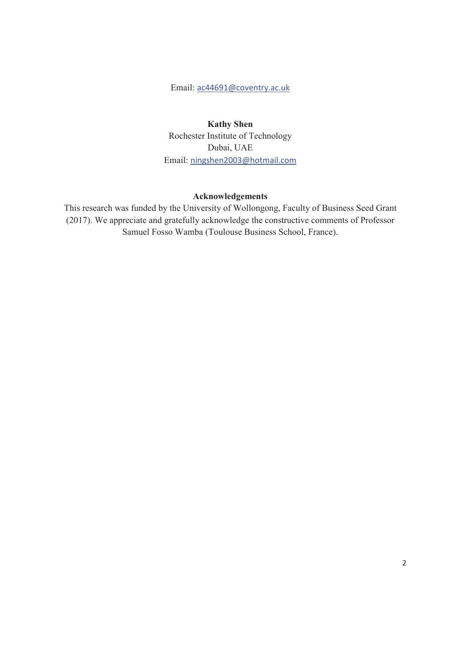Email: ac44691@coventry.ac.uk

**Kathy Shen**  Rochester Institute of Technology Dubai, UAE Email: ningshen2003@hotmail.com

## **Acknowledgements**

This research was funded by the University of Wollongong, Faculty of Business Seed Grant (2017). We appreciate and gratefully acknowledge the constructive comments of Professor Samuel Fosso Wamba (Toulouse Business School, France).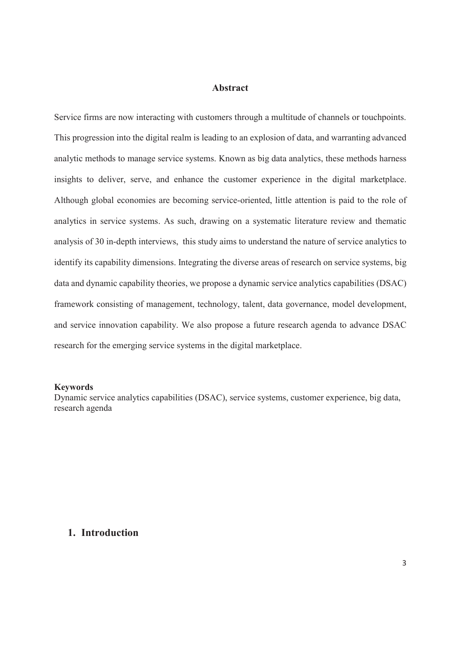## **Abstract**

Service firms are now interacting with customers through a multitude of channels or touchpoints. This progression into the digital realm is leading to an explosion of data, and warranting advanced analytic methods to manage service systems. Known as big data analytics, these methods harness insights to deliver, serve, and enhance the customer experience in the digital marketplace. Although global economies are becoming service-oriented, little attention is paid to the role of analytics in service systems. As such, drawing on a systematic literature review and thematic analysis of 30 in-depth interviews, this study aims to understand the nature of service analytics to identify its capability dimensions. Integrating the diverse areas of research on service systems, big data and dynamic capability theories, we propose a dynamic service analytics capabilities (DSAC) framework consisting of management, technology, talent, data governance, model development, and service innovation capability. We also propose a future research agenda to advance DSAC research for the emerging service systems in the digital marketplace.

#### **Keywords**

Dynamic service analytics capabilities (DSAC), service systems, customer experience, big data, research agenda

## **1. Introduction**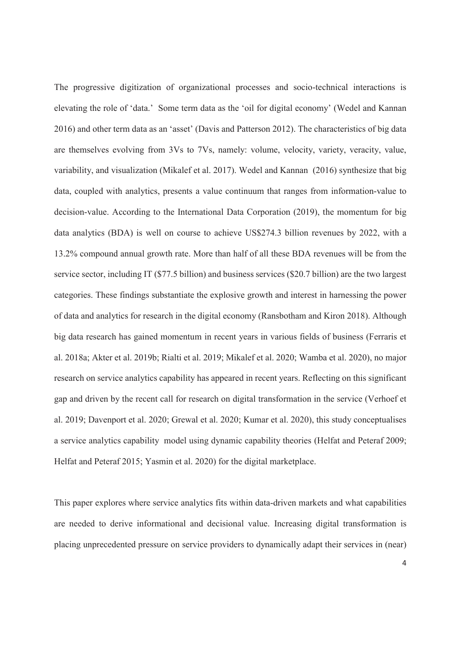The progressive digitization of organizational processes and socio-technical interactions is elevating the role of 'data.' Some term data as the 'oil for digital economy' (Wedel and Kannan 2016) and other term data as an 'asset' (Davis and Patterson 2012). The characteristics of big data are themselves evolving from 3Vs to 7Vs, namely: volume, velocity, variety, veracity, value, variability, and visualization (Mikalef et al. 2017). Wedel and Kannan (2016) synthesize that big data, coupled with analytics, presents a value continuum that ranges from information-value to decision-value. According to the International Data Corporation (2019), the momentum for big data analytics (BDA) is well on course to achieve US\$274.3 billion revenues by 2022, with a 13.2% compound annual growth rate. More than half of all these BDA revenues will be from the service sector, including IT (\$77.5 billion) and business services (\$20.7 billion) are the two largest categories. These findings substantiate the explosive growth and interest in harnessing the power of data and analytics for research in the digital economy (Ransbotham and Kiron 2018). Although big data research has gained momentum in recent years in various fields of business (Ferraris et al. 2018a; Akter et al. 2019b; Rialti et al. 2019; Mikalef et al. 2020; Wamba et al. 2020), no major research on service analytics capability has appeared in recent years. Reflecting on this significant gap and driven by the recent call for research on digital transformation in the service (Verhoef et al. 2019; Davenport et al. 2020; Grewal et al. 2020; Kumar et al. 2020), this study conceptualises a service analytics capability model using dynamic capability theories (Helfat and Peteraf 2009; Helfat and Peteraf 2015; Yasmin et al. 2020) for the digital marketplace.

This paper explores where service analytics fits within data-driven markets and what capabilities are needed to derive informational and decisional value. Increasing digital transformation is placing unprecedented pressure on service providers to dynamically adapt their services in (near)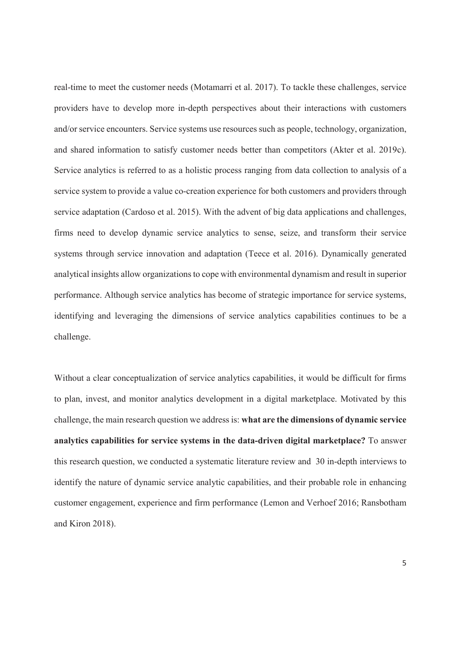real-time to meet the customer needs (Motamarri et al. 2017). To tackle these challenges, service providers have to develop more in-depth perspectives about their interactions with customers and/or service encounters. Service systems use resources such as people, technology, organization, and shared information to satisfy customer needs better than competitors (Akter et al. 2019c). Service analytics is referred to as a holistic process ranging from data collection to analysis of a service system to provide a value co-creation experience for both customers and providers through service adaptation (Cardoso et al. 2015). With the advent of big data applications and challenges, firms need to develop dynamic service analytics to sense, seize, and transform their service systems through service innovation and adaptation (Teece et al. 2016). Dynamically generated analytical insights allow organizations to cope with environmental dynamism and result in superior performance. Although service analytics has become of strategic importance for service systems, identifying and leveraging the dimensions of service analytics capabilities continues to be a challenge.

Without a clear conceptualization of service analytics capabilities, it would be difficult for firms to plan, invest, and monitor analytics development in a digital marketplace. Motivated by this challenge, the main research question we address is: **what are the dimensions of dynamic service analytics capabilities for service systems in the data-driven digital marketplace?** To answer this research question, we conducted a systematic literature review and 30 in-depth interviews to identify the nature of dynamic service analytic capabilities, and their probable role in enhancing customer engagement, experience and firm performance (Lemon and Verhoef 2016; Ransbotham and Kiron 2018).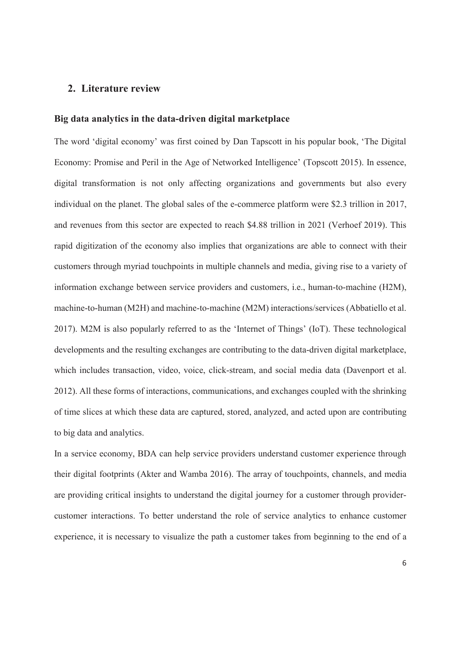## **2. Literature review**

## **Big data analytics in the data-driven digital marketplace**

The word 'digital economy' was first coined by Dan Tapscott in his popular book, 'The Digital Economy: Promise and Peril in the Age of Networked Intelligence' (Topscott 2015). In essence, digital transformation is not only affecting organizations and governments but also every individual on the planet. The global sales of the e-commerce platform were \$2.3 trillion in 2017, and revenues from this sector are expected to reach \$4.88 trillion in 2021 (Verhoef 2019). This rapid digitization of the economy also implies that organizations are able to connect with their customers through myriad touchpoints in multiple channels and media, giving rise to a variety of information exchange between service providers and customers, i.e., human-to-machine (H2M), machine-to-human (M2H) and machine-to-machine (M2M) interactions/services (Abbatiello et al. 2017). M2M is also popularly referred to as the 'Internet of Things' (IoT). These technological developments and the resulting exchanges are contributing to the data-driven digital marketplace, which includes transaction, video, voice, click-stream, and social media data (Davenport et al. 2012). All these forms of interactions, communications, and exchanges coupled with the shrinking of time slices at which these data are captured, stored, analyzed, and acted upon are contributing to big data and analytics.

In a service economy, BDA can help service providers understand customer experience through their digital footprints (Akter and Wamba 2016). The array of touchpoints, channels, and media are providing critical insights to understand the digital journey for a customer through providercustomer interactions. To better understand the role of service analytics to enhance customer experience, it is necessary to visualize the path a customer takes from beginning to the end of a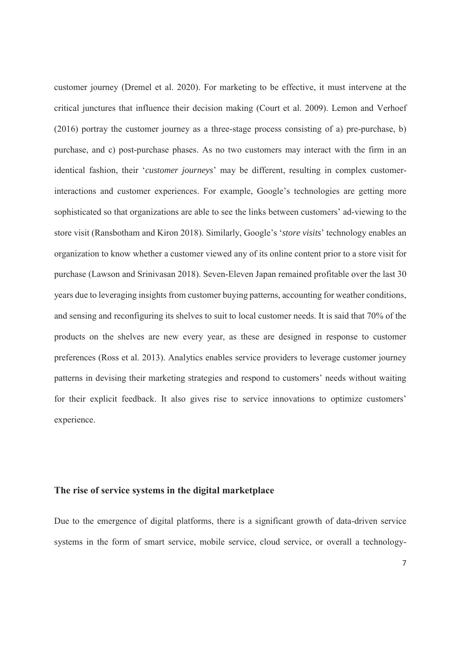customer journey (Dremel et al. 2020). For marketing to be effective, it must intervene at the critical junctures that influence their decision making (Court et al. 2009). Lemon and Verhoef (2016) portray the customer journey as a three-stage process consisting of a) pre-purchase, b) purchase, and c) post-purchase phases. As no two customers may interact with the firm in an identical fashion, their '*customer journeys*' may be different, resulting in complex customerinteractions and customer experiences. For example, Google's technologies are getting more sophisticated so that organizations are able to see the links between customers' ad-viewing to the store visit (Ransbotham and Kiron 2018). Similarly, Google's '*store visits*' technology enables an organization to know whether a customer viewed any of its online content prior to a store visit for purchase (Lawson and Srinivasan 2018). Seven-Eleven Japan remained profitable over the last 30 years due to leveraging insights from customer buying patterns, accounting for weather conditions, and sensing and reconfiguring its shelves to suit to local customer needs. It is said that 70% of the products on the shelves are new every year, as these are designed in response to customer preferences (Ross et al. 2013). Analytics enables service providers to leverage customer journey patterns in devising their marketing strategies and respond to customers' needs without waiting for their explicit feedback. It also gives rise to service innovations to optimize customers' experience.

## **The rise of service systems in the digital marketplace**

Due to the emergence of digital platforms, there is a significant growth of data-driven service systems in the form of smart service, mobile service, cloud service, or overall a technology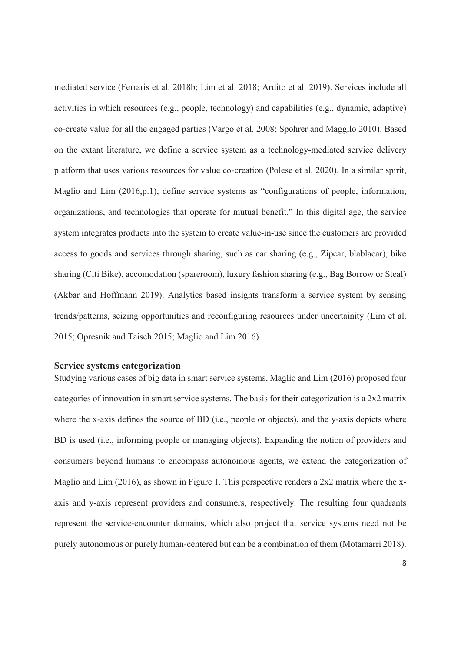mediated service (Ferraris et al. 2018b; Lim et al. 2018; Ardito et al. 2019). Services include all activities in which resources (e.g., people, technology) and capabilities (e.g., dynamic, adaptive) co-create value for all the engaged parties (Vargo et al. 2008; Spohrer and Maggilo 2010). Based on the extant literature, we define a service system as a technology-mediated service delivery platform that uses various resources for value co-creation (Polese et al. 2020). In a similar spirit, Maglio and Lim (2016,p.1), define service systems as "configurations of people, information, organizations, and technologies that operate for mutual benefit." In this digital age, the service system integrates products into the system to create value-in-use since the customers are provided access to goods and services through sharing, such as car sharing (e.g., Zipcar, blablacar), bike sharing (Citi Bike), accomodation (spareroom), luxury fashion sharing (e.g., Bag Borrow or Steal) (Akbar and Hoffmann 2019). Analytics based insights transform a service system by sensing trends/patterns, seizing opportunities and reconfiguring resources under uncertainity (Lim et al. 2015; Opresnik and Taisch 2015; Maglio and Lim 2016).

### **Service systems categorization**

Studying various cases of big data in smart service systems, Maglio and Lim (2016) proposed four categories of innovation in smart service systems. The basis for their categorization is a 2x2 matrix where the x-axis defines the source of BD (i.e., people or objects), and the y-axis depicts where BD is used (i.e., informing people or managing objects). Expanding the notion of providers and consumers beyond humans to encompass autonomous agents, we extend the categorization of Maglio and Lim (2016), as shown in Figure 1. This perspective renders a 2x2 matrix where the xaxis and y-axis represent providers and consumers, respectively. The resulting four quadrants represent the service-encounter domains, which also project that service systems need not be purely autonomous or purely human-centered but can be a combination of them (Motamarri 2018).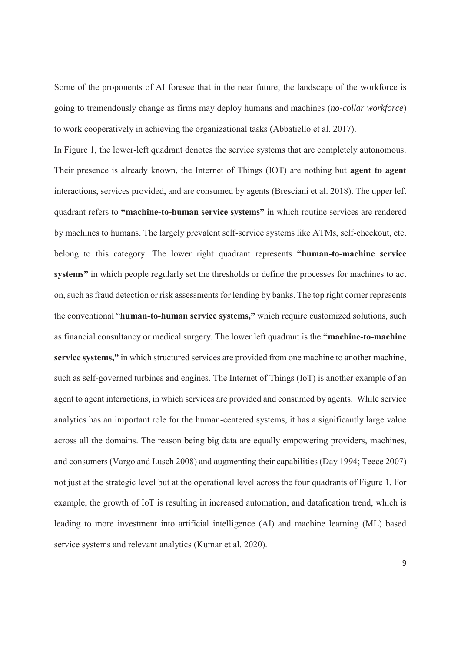Some of the proponents of AI foresee that in the near future, the landscape of the workforce is going to tremendously change as firms may deploy humans and machines (*no-collar workforce*) to work cooperatively in achieving the organizational tasks (Abbatiello et al. 2017).

In Figure 1, the lower-left quadrant denotes the service systems that are completely autonomous. Their presence is already known, the Internet of Things (IOT) are nothing but **agent to agent**  interactions, services provided, and are consumed by agents (Bresciani et al. 2018). The upper left quadrant refers to **"machine-to-human service systems"** in which routine services are rendered by machines to humans. The largely prevalent self-service systems like ATMs, self-checkout, etc. belong to this category. The lower right quadrant represents **"human-to-machine service systems"** in which people regularly set the thresholds or define the processes for machines to act on, such as fraud detection or risk assessments for lending by banks. The top right corner represents the conventional "**human-to-human service systems,"** which require customized solutions, such as financial consultancy or medical surgery. The lower left quadrant is the **"machine-to-machine service systems,"** in which structured services are provided from one machine to another machine, such as self-governed turbines and engines. The Internet of Things (IoT) is another example of an agent to agent interactions, in which services are provided and consumed by agents. While service analytics has an important role for the human-centered systems, it has a significantly large value across all the domains. The reason being big data are equally empowering providers, machines, and consumers (Vargo and Lusch 2008) and augmenting their capabilities (Day 1994; Teece 2007) not just at the strategic level but at the operational level across the four quadrants of Figure 1. For example, the growth of IoT is resulting in increased automation, and datafication trend, which is leading to more investment into artificial intelligence (AI) and machine learning (ML) based service systems and relevant analytics (Kumar et al. 2020).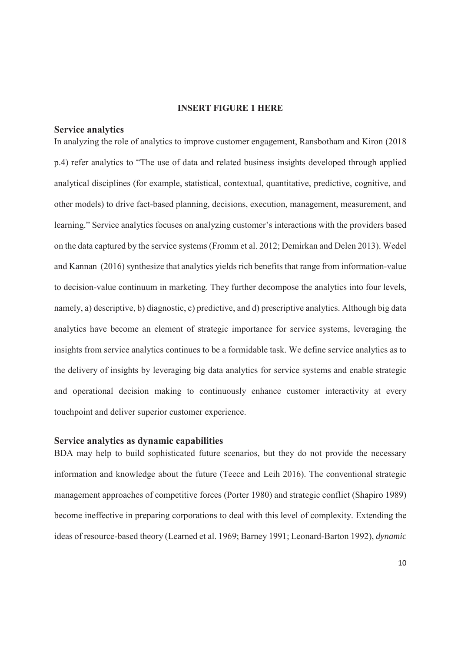## **INSERT FIGURE 1 HERE**

#### **Service analytics**

In analyzing the role of analytics to improve customer engagement, Ransbotham and Kiron (2018 p.4) refer analytics to "The use of data and related business insights developed through applied analytical disciplines (for example, statistical, contextual, quantitative, predictive, cognitive, and other models) to drive fact-based planning, decisions, execution, management, measurement, and learning." Service analytics focuses on analyzing customer's interactions with the providers based on the data captured by the service systems (Fromm et al. 2012; Demirkan and Delen 2013). Wedel and Kannan (2016) synthesize that analytics yields rich benefits that range from information-value to decision-value continuum in marketing. They further decompose the analytics into four levels, namely, a) descriptive, b) diagnostic, c) predictive, and d) prescriptive analytics. Although big data analytics have become an element of strategic importance for service systems, leveraging the insights from service analytics continues to be a formidable task. We define service analytics as to the delivery of insights by leveraging big data analytics for service systems and enable strategic and operational decision making to continuously enhance customer interactivity at every touchpoint and deliver superior customer experience.

#### **Service analytics as dynamic capabilities**

BDA may help to build sophisticated future scenarios, but they do not provide the necessary information and knowledge about the future (Teece and Leih 2016). The conventional strategic management approaches of competitive forces (Porter 1980) and strategic conflict (Shapiro 1989) become ineffective in preparing corporations to deal with this level of complexity. Extending the ideas of resource-based theory (Learned et al. 1969; Barney 1991; Leonard-Barton 1992), *dynamic*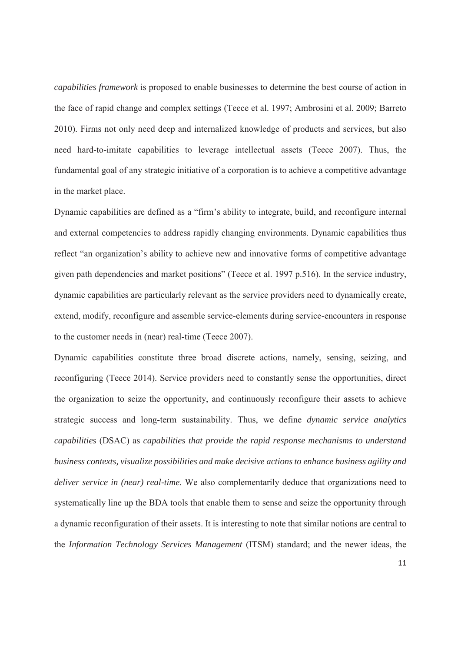*capabilities framework* is proposed to enable businesses to determine the best course of action in the face of rapid change and complex settings (Teece et al. 1997; Ambrosini et al. 2009; Barreto 2010). Firms not only need deep and internalized knowledge of products and services, but also need hard-to-imitate capabilities to leverage intellectual assets (Teece 2007). Thus, the fundamental goal of any strategic initiative of a corporation is to achieve a competitive advantage in the market place.

Dynamic capabilities are defined as a "firm's ability to integrate, build, and reconfigure internal and external competencies to address rapidly changing environments. Dynamic capabilities thus reflect "an organization's ability to achieve new and innovative forms of competitive advantage given path dependencies and market positions" (Teece et al. 1997 p.516). In the service industry, dynamic capabilities are particularly relevant as the service providers need to dynamically create, extend, modify, reconfigure and assemble service-elements during service-encounters in response to the customer needs in (near) real-time (Teece 2007).

Dynamic capabilities constitute three broad discrete actions, namely, sensing, seizing, and reconfiguring (Teece 2014). Service providers need to constantly sense the opportunities, direct the organization to seize the opportunity, and continuously reconfigure their assets to achieve strategic success and long-term sustainability. Thus, we define *dynamic service analytics capabilities* (DSAC) as *capabilities that provide the rapid response mechanisms to understand business contexts, visualize possibilities and make decisive actions to enhance business agility and deliver service in (near) real-time*. We also complementarily deduce that organizations need to systematically line up the BDA tools that enable them to sense and seize the opportunity through a dynamic reconfiguration of their assets. It is interesting to note that similar notions are central to the *Information Technology Services Management* (ITSM) standard; and the newer ideas, the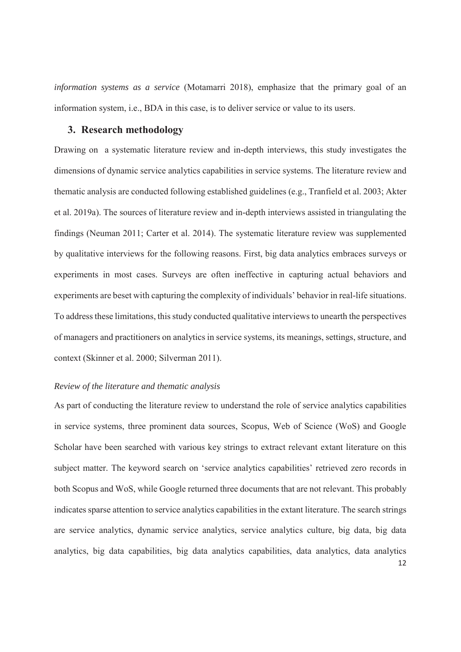*information systems as a service* (Motamarri 2018), emphasize that the primary goal of an information system, i.e., BDA in this case, is to deliver service or value to its users.

## **3. Research methodology**

Drawing on a systematic literature review and in-depth interviews, this study investigates the dimensions of dynamic service analytics capabilities in service systems. The literature review and thematic analysis are conducted following established guidelines (e.g., Tranfield et al. 2003; Akter et al. 2019a). The sources of literature review and in-depth interviews assisted in triangulating the findings (Neuman 2011; Carter et al. 2014). The systematic literature review was supplemented by qualitative interviews for the following reasons. First, big data analytics embraces surveys or experiments in most cases. Surveys are often ineffective in capturing actual behaviors and experiments are beset with capturing the complexity of individuals' behavior in real-life situations. To address these limitations, this study conducted qualitative interviews to unearth the perspectives of managers and practitioners on analytics in service systems, its meanings, settings, structure, and context (Skinner et al. 2000; Silverman 2011).

## *Review of the literature and thematic analysis*

As part of conducting the literature review to understand the role of service analytics capabilities in service systems, three prominent data sources, Scopus, Web of Science (WoS) and Google Scholar have been searched with various key strings to extract relevant extant literature on this subject matter. The keyword search on 'service analytics capabilities' retrieved zero records in both Scopus and WoS, while Google returned three documents that are not relevant. This probably indicates sparse attention to service analytics capabilities in the extant literature. The search strings are service analytics, dynamic service analytics, service analytics culture, big data, big data analytics, big data capabilities, big data analytics capabilities, data analytics, data analytics 12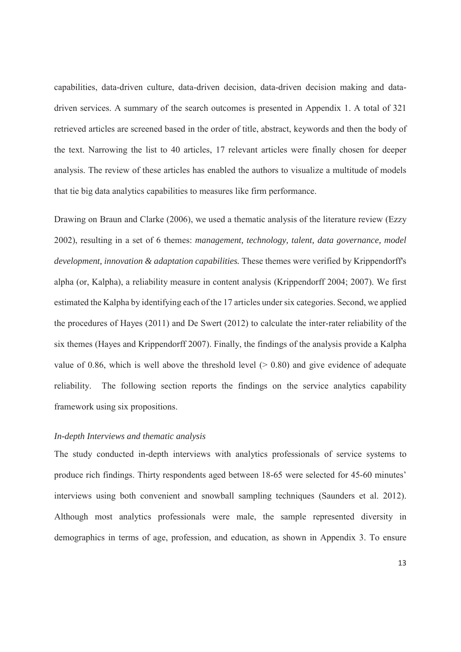capabilities, data-driven culture, data-driven decision, data-driven decision making and datadriven services. A summary of the search outcomes is presented in Appendix 1. A total of 321 retrieved articles are screened based in the order of title, abstract, keywords and then the body of the text. Narrowing the list to 40 articles, 17 relevant articles were finally chosen for deeper analysis. The review of these articles has enabled the authors to visualize a multitude of models that tie big data analytics capabilities to measures like firm performance.

Drawing on Braun and Clarke (2006), we used a thematic analysis of the literature review (Ezzy 2002), resulting in a set of 6 themes: *management, technology, talent, data governance, model development, innovation & adaptation capabilities.* These themes were verified by Krippendorff's alpha (or, Kalpha), a reliability measure in content analysis (Krippendorff 2004; 2007). We first estimated the Kalpha by identifying each of the 17 articles under six categories. Second, we applied the procedures of Hayes (2011) and De Swert (2012) to calculate the inter-rater reliability of the six themes (Hayes and Krippendorff 2007). Finally, the findings of the analysis provide a Kalpha value of 0.86, which is well above the threshold level  $(> 0.80)$  and give evidence of adequate reliability. The following section reports the findings on the service analytics capability framework using six propositions.

## *In-depth Interviews and thematic analysis*

The study conducted in-depth interviews with analytics professionals of service systems to produce rich findings. Thirty respondents aged between 18-65 were selected for 45-60 minutes' interviews using both convenient and snowball sampling techniques (Saunders et al. 2012). Although most analytics professionals were male, the sample represented diversity in demographics in terms of age, profession, and education, as shown in Appendix 3. To ensure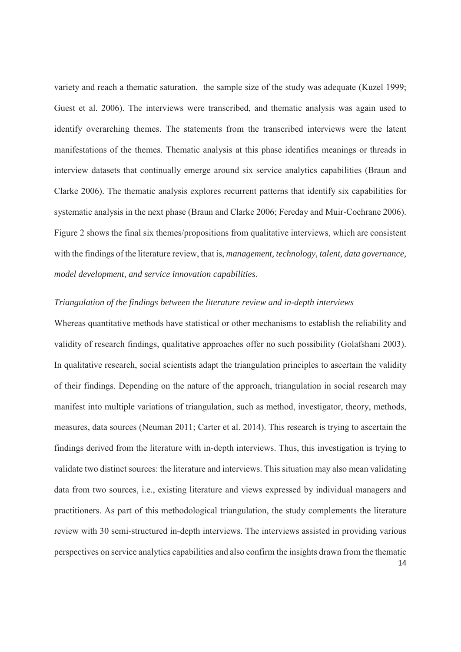variety and reach a thematic saturation, the sample size of the study was adequate (Kuzel 1999; Guest et al. 2006). The interviews were transcribed, and thematic analysis was again used to identify overarching themes. The statements from the transcribed interviews were the latent manifestations of the themes. Thematic analysis at this phase identifies meanings or threads in interview datasets that continually emerge around six service analytics capabilities (Braun and Clarke 2006). The thematic analysis explores recurrent patterns that identify six capabilities for systematic analysis in the next phase (Braun and Clarke 2006; Fereday and Muir-Cochrane 2006). Figure 2 shows the final six themes/propositions from qualitative interviews, which are consistent with the findings of the literature review, that is, *management, technology, talent, data governance, model development, and service innovation capabilities*.

## *Triangulation of the findings between the literature review and in-depth interviews*

Whereas quantitative methods have statistical or other mechanisms to establish the reliability and validity of research findings, qualitative approaches offer no such possibility (Golafshani 2003). In qualitative research, social scientists adapt the triangulation principles to ascertain the validity of their findings. Depending on the nature of the approach, triangulation in social research may manifest into multiple variations of triangulation, such as method, investigator, theory, methods, measures, data sources (Neuman 2011; Carter et al. 2014). This research is trying to ascertain the findings derived from the literature with in-depth interviews. Thus, this investigation is trying to validate two distinct sources: the literature and interviews. This situation may also mean validating data from two sources, i.e., existing literature and views expressed by individual managers and practitioners. As part of this methodological triangulation, the study complements the literature review with 30 semi-structured in-depth interviews. The interviews assisted in providing various perspectives on service analytics capabilities and also confirm the insights drawn from the thematic 14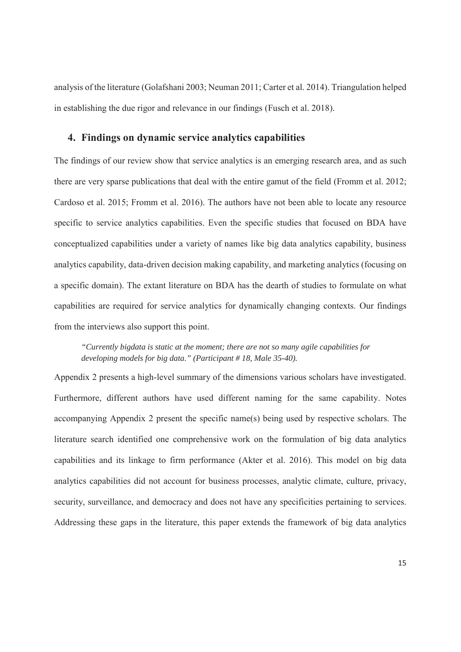analysis of the literature (Golafshani 2003; Neuman 2011; Carter et al. 2014). Triangulation helped in establishing the due rigor and relevance in our findings (Fusch et al. 2018).

## **4. Findings on dynamic service analytics capabilities**

The findings of our review show that service analytics is an emerging research area, and as such there are very sparse publications that deal with the entire gamut of the field (Fromm et al. 2012; Cardoso et al. 2015; Fromm et al. 2016). The authors have not been able to locate any resource specific to service analytics capabilities. Even the specific studies that focused on BDA have conceptualized capabilities under a variety of names like big data analytics capability, business analytics capability, data-driven decision making capability, and marketing analytics (focusing on a specific domain). The extant literature on BDA has the dearth of studies to formulate on what capabilities are required for service analytics for dynamically changing contexts. Our findings from the interviews also support this point.

*"Currently bigdata is static at the moment; there are not so many agile capabilities for developing models for big data." (Participant # 18, Male 35-40).*

Appendix 2 presents a high-level summary of the dimensions various scholars have investigated. Furthermore, different authors have used different naming for the same capability. Notes accompanying Appendix 2 present the specific name(s) being used by respective scholars. The literature search identified one comprehensive work on the formulation of big data analytics capabilities and its linkage to firm performance (Akter et al. 2016). This model on big data analytics capabilities did not account for business processes, analytic climate, culture, privacy, security, surveillance, and democracy and does not have any specificities pertaining to services. Addressing these gaps in the literature, this paper extends the framework of big data analytics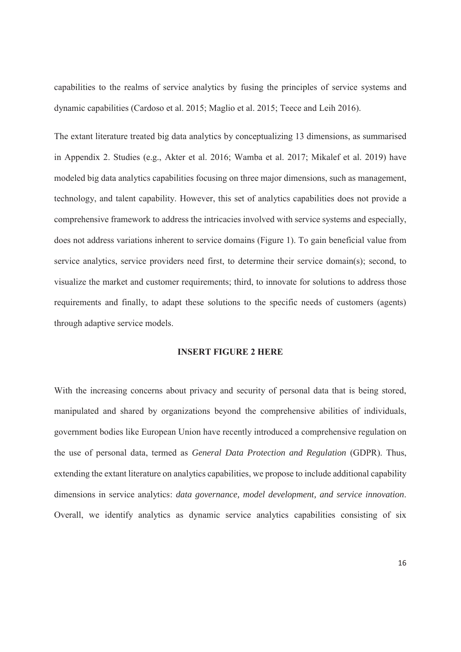capabilities to the realms of service analytics by fusing the principles of service systems and dynamic capabilities (Cardoso et al. 2015; Maglio et al. 2015; Teece and Leih 2016).

The extant literature treated big data analytics by conceptualizing 13 dimensions, as summarised in Appendix 2. Studies (e.g., Akter et al. 2016; Wamba et al. 2017; Mikalef et al. 2019) have modeled big data analytics capabilities focusing on three major dimensions, such as management, technology, and talent capability. However, this set of analytics capabilities does not provide a comprehensive framework to address the intricacies involved with service systems and especially, does not address variations inherent to service domains (Figure 1). To gain beneficial value from service analytics, service providers need first, to determine their service domain(s); second, to visualize the market and customer requirements; third, to innovate for solutions to address those requirements and finally, to adapt these solutions to the specific needs of customers (agents) through adaptive service models.

## **INSERT FIGURE 2 HERE**

With the increasing concerns about privacy and security of personal data that is being stored, manipulated and shared by organizations beyond the comprehensive abilities of individuals, government bodies like European Union have recently introduced a comprehensive regulation on the use of personal data, termed as *General Data Protection and Regulation* (GDPR). Thus, extending the extant literature on analytics capabilities, we propose to include additional capability dimensions in service analytics: *data governance, model development, and service innovation*. Overall, we identify analytics as dynamic service analytics capabilities consisting of six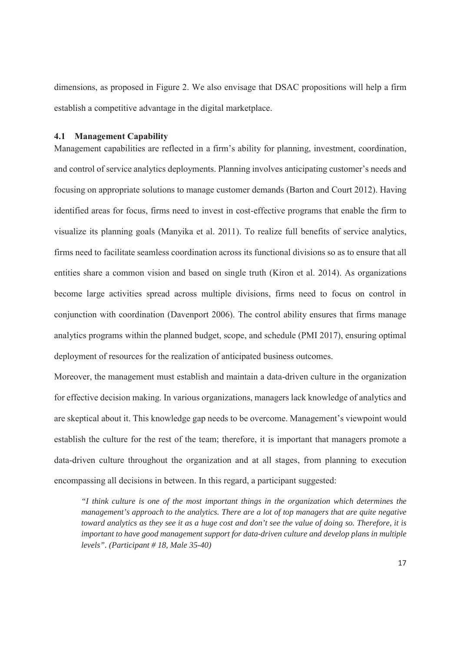dimensions, as proposed in Figure 2. We also envisage that DSAC propositions will help a firm establish a competitive advantage in the digital marketplace.

#### **4.1 Management Capability**

Management capabilities are reflected in a firm's ability for planning, investment, coordination, and control of service analytics deployments. Planning involves anticipating customer's needs and focusing on appropriate solutions to manage customer demands (Barton and Court 2012). Having identified areas for focus, firms need to invest in cost-effective programs that enable the firm to visualize its planning goals (Manyika et al. 2011). To realize full benefits of service analytics, firms need to facilitate seamless coordination across its functional divisions so as to ensure that all entities share a common vision and based on single truth (Kiron et al. 2014). As organizations become large activities spread across multiple divisions, firms need to focus on control in conjunction with coordination (Davenport 2006). The control ability ensures that firms manage analytics programs within the planned budget, scope, and schedule (PMI 2017), ensuring optimal deployment of resources for the realization of anticipated business outcomes.

Moreover, the management must establish and maintain a data-driven culture in the organization for effective decision making. In various organizations, managers lack knowledge of analytics and are skeptical about it. This knowledge gap needs to be overcome. Management's viewpoint would establish the culture for the rest of the team; therefore, it is important that managers promote a data-driven culture throughout the organization and at all stages, from planning to execution encompassing all decisions in between. In this regard, a participant suggested:

*"I think culture is one of the most important things in the organization which determines the management's approach to the analytics. There are a lot of top managers that are quite negative toward analytics as they see it as a huge cost and don't see the value of doing so. Therefore, it is important to have good management support for data-driven culture and develop plans in multiple levels". (Participant # 18, Male 35-40)*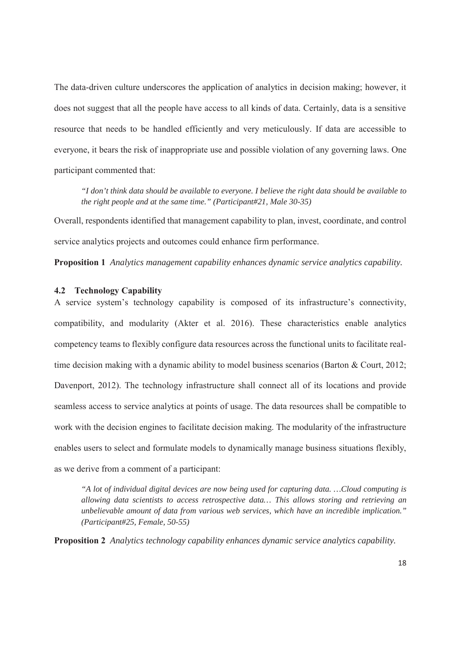The data-driven culture underscores the application of analytics in decision making; however, it does not suggest that all the people have access to all kinds of data. Certainly, data is a sensitive resource that needs to be handled efficiently and very meticulously. If data are accessible to everyone, it bears the risk of inappropriate use and possible violation of any governing laws. One participant commented that:

*"I don't think data should be available to everyone. I believe the right data should be available to the right people and at the same time." (Participant#21, Male 30-35)*

Overall, respondents identified that management capability to plan, invest, coordinate, and control service analytics projects and outcomes could enhance firm performance.

**Proposition 1** *Analytics management capability enhances dynamic service analytics capability.* 

#### **4.2 Technology Capability**

A service system's technology capability is composed of its infrastructure's connectivity, compatibility, and modularity (Akter et al. 2016). These characteristics enable analytics competency teams to flexibly configure data resources across the functional units to facilitate realtime decision making with a dynamic ability to model business scenarios (Barton & Court, 2012; Davenport, 2012). The technology infrastructure shall connect all of its locations and provide seamless access to service analytics at points of usage. The data resources shall be compatible to work with the decision engines to facilitate decision making. The modularity of the infrastructure enables users to select and formulate models to dynamically manage business situations flexibly, as we derive from a comment of a participant:

*"A lot of individual digital devices are now being used for capturing data. …Cloud computing is allowing data scientists to access retrospective data… This allows storing and retrieving an unbelievable amount of data from various web services, which have an incredible implication." (Participant#25, Female, 50-55)*

**Proposition 2** *Analytics technology capability enhances dynamic service analytics capability.*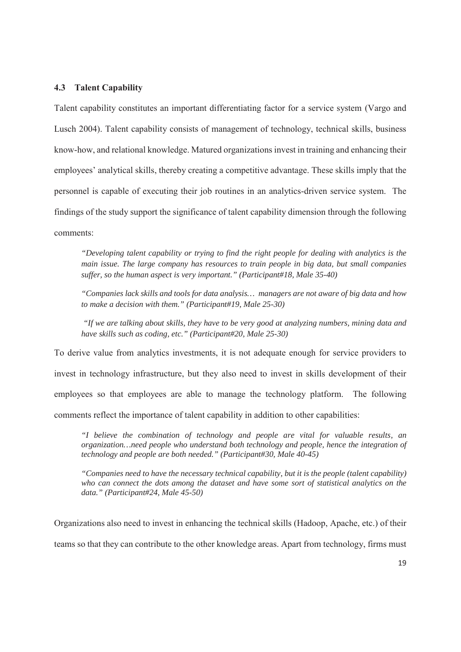## **4.3 Talent Capability**

Talent capability constitutes an important differentiating factor for a service system (Vargo and Lusch 2004). Talent capability consists of management of technology, technical skills, business know-how, and relational knowledge. Matured organizations invest in training and enhancing their employees' analytical skills, thereby creating a competitive advantage. These skills imply that the personnel is capable of executing their job routines in an analytics-driven service system. The findings of the study support the significance of talent capability dimension through the following comments:

*"Developing talent capability or trying to find the right people for dealing with analytics is the main issue. The large company has resources to train people in big data, but small companies suffer, so the human aspect is very important." (Participant#18, Male 35-40)*

*"Companies lack skills and tools for data analysis… managers are not aware of big data and how to make a decision with them." (Participant#19, Male 25-30)*

*"If we are talking about skills, they have to be very good at analyzing numbers, mining data and have skills such as coding, etc." (Participant#20, Male 25-30)*

To derive value from analytics investments, it is not adequate enough for service providers to invest in technology infrastructure, but they also need to invest in skills development of their employees so that employees are able to manage the technology platform. The following comments reflect the importance of talent capability in addition to other capabilities:

*"I believe the combination of technology and people are vital for valuable results, an organization…need people who understand both technology and people, hence the integration of technology and people are both needed." (Participant#30, Male 40-45)*

*"Companies need to have the necessary technical capability, but it is the people (talent capability) who can connect the dots among the dataset and have some sort of statistical analytics on the data." (Participant#24, Male 45-50)*

Organizations also need to invest in enhancing the technical skills (Hadoop, Apache, etc.) of their teams so that they can contribute to the other knowledge areas. Apart from technology, firms must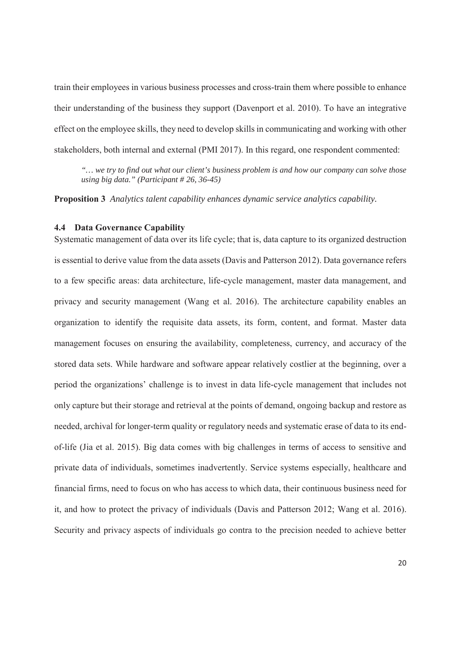train their employees in various business processes and cross-train them where possible to enhance their understanding of the business they support (Davenport et al. 2010). To have an integrative effect on the employee skills, they need to develop skills in communicating and working with other stakeholders, both internal and external (PMI 2017). In this regard, one respondent commented:

*"… we try to find out what our client's business problem is and how our company can solve those using big data." (Participant # 26, 36-45)* 

**Proposition 3** *Analytics talent capability enhances dynamic service analytics capability.* 

#### **4.4 Data Governance Capability**

Systematic management of data over its life cycle; that is, data capture to its organized destruction is essential to derive value from the data assets (Davis and Patterson 2012). Data governance refers to a few specific areas: data architecture, life-cycle management, master data management, and privacy and security management (Wang et al. 2016). The architecture capability enables an organization to identify the requisite data assets, its form, content, and format. Master data management focuses on ensuring the availability, completeness, currency, and accuracy of the stored data sets. While hardware and software appear relatively costlier at the beginning, over a period the organizations' challenge is to invest in data life-cycle management that includes not only capture but their storage and retrieval at the points of demand, ongoing backup and restore as needed, archival for longer-term quality or regulatory needs and systematic erase of data to its endof-life (Jia et al. 2015). Big data comes with big challenges in terms of access to sensitive and private data of individuals, sometimes inadvertently. Service systems especially, healthcare and financial firms, need to focus on who has access to which data, their continuous business need for it, and how to protect the privacy of individuals (Davis and Patterson 2012; Wang et al. 2016). Security and privacy aspects of individuals go contra to the precision needed to achieve better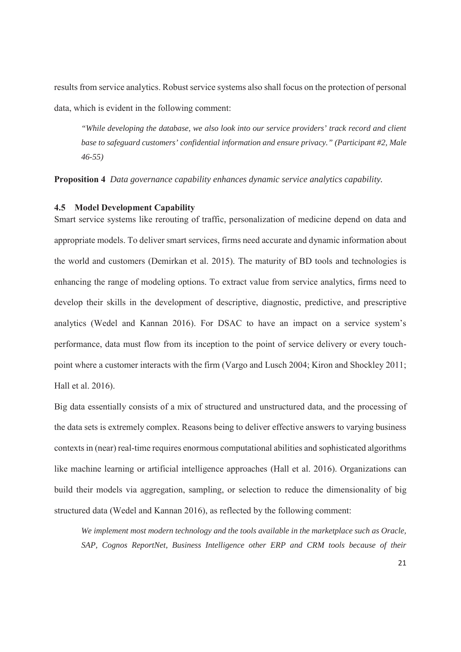results from service analytics. Robust service systems also shall focus on the protection of personal data, which is evident in the following comment:

*"While developing the database, we also look into our service providers' track record and client base to safeguard customers' confidential information and ensure privacy." (Participant #2, Male 46-55)*

**Proposition 4** *Data governance capability enhances dynamic service analytics capability.* 

### **4.5 Model Development Capability**

Smart service systems like rerouting of traffic, personalization of medicine depend on data and appropriate models. To deliver smart services, firms need accurate and dynamic information about the world and customers (Demirkan et al. 2015). The maturity of BD tools and technologies is enhancing the range of modeling options. To extract value from service analytics, firms need to develop their skills in the development of descriptive, diagnostic, predictive, and prescriptive analytics (Wedel and Kannan 2016). For DSAC to have an impact on a service system's performance, data must flow from its inception to the point of service delivery or every touchpoint where a customer interacts with the firm (Vargo and Lusch 2004; Kiron and Shockley 2011; Hall et al. 2016).

Big data essentially consists of a mix of structured and unstructured data, and the processing of the data sets is extremely complex. Reasons being to deliver effective answers to varying business contexts in (near) real-time requires enormous computational abilities and sophisticated algorithms like machine learning or artificial intelligence approaches (Hall et al. 2016). Organizations can build their models via aggregation, sampling, or selection to reduce the dimensionality of big structured data (Wedel and Kannan 2016), as reflected by the following comment:

*We implement most modern technology and the tools available in the marketplace such as Oracle, SAP, Cognos ReportNet, Business Intelligence other ERP and CRM tools because of their*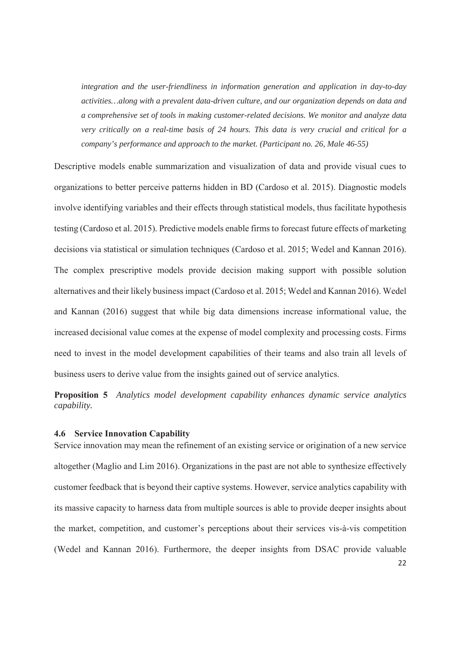*integration and the user-friendliness in information generation and application in day-to-day activities…along with a prevalent data-driven culture, and our organization depends on data and a comprehensive set of tools in making customer-related decisions. We monitor and analyze data very critically on a real-time basis of 24 hours. This data is very crucial and critical for a company's performance and approach to the market. (Participant no. 26, Male 46-55)*

Descriptive models enable summarization and visualization of data and provide visual cues to organizations to better perceive patterns hidden in BD (Cardoso et al. 2015). Diagnostic models involve identifying variables and their effects through statistical models, thus facilitate hypothesis testing (Cardoso et al. 2015). Predictive models enable firms to forecast future effects of marketing decisions via statistical or simulation techniques (Cardoso et al. 2015; Wedel and Kannan 2016). The complex prescriptive models provide decision making support with possible solution alternatives and their likely business impact (Cardoso et al. 2015; Wedel and Kannan 2016). Wedel and Kannan (2016) suggest that while big data dimensions increase informational value, the increased decisional value comes at the expense of model complexity and processing costs. Firms need to invest in the model development capabilities of their teams and also train all levels of business users to derive value from the insights gained out of service analytics.

**Proposition 5** *Analytics model development capability enhances dynamic service analytics capability.* 

#### **4.6 Service Innovation Capability**

Service innovation may mean the refinement of an existing service or origination of a new service altogether (Maglio and Lim 2016). Organizations in the past are not able to synthesize effectively customer feedback that is beyond their captive systems. However, service analytics capability with its massive capacity to harness data from multiple sources is able to provide deeper insights about the market, competition, and customer's perceptions about their services vis-à-vis competition (Wedel and Kannan 2016). Furthermore, the deeper insights from DSAC provide valuable 22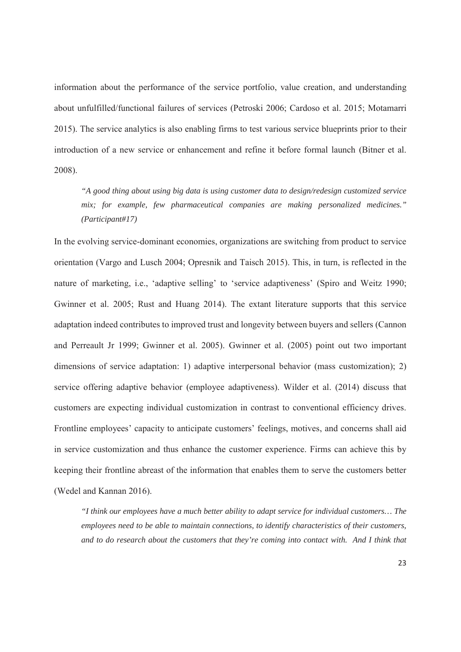information about the performance of the service portfolio, value creation, and understanding about unfulfilled/functional failures of services (Petroski 2006; Cardoso et al. 2015; Motamarri 2015). The service analytics is also enabling firms to test various service blueprints prior to their introduction of a new service or enhancement and refine it before formal launch (Bitner et al. 2008).

*"A good thing about using big data is using customer data to design/redesign customized service mix; for example, few pharmaceutical companies are making personalized medicines." (Participant#17)* 

In the evolving service-dominant economies, organizations are switching from product to service orientation (Vargo and Lusch 2004; Opresnik and Taisch 2015). This, in turn, is reflected in the nature of marketing, i.e., 'adaptive selling' to 'service adaptiveness' (Spiro and Weitz 1990; Gwinner et al. 2005; Rust and Huang 2014). The extant literature supports that this service adaptation indeed contributes to improved trust and longevity between buyers and sellers (Cannon and Perreault Jr 1999; Gwinner et al. 2005). Gwinner et al. (2005) point out two important dimensions of service adaptation: 1) adaptive interpersonal behavior (mass customization); 2) service offering adaptive behavior (employee adaptiveness). Wilder et al. (2014) discuss that customers are expecting individual customization in contrast to conventional efficiency drives. Frontline employees' capacity to anticipate customers' feelings, motives, and concerns shall aid in service customization and thus enhance the customer experience. Firms can achieve this by keeping their frontline abreast of the information that enables them to serve the customers better (Wedel and Kannan 2016).

*"I think our employees have a much better ability to adapt service for individual customers… The employees need to be able to maintain connections, to identify characteristics of their customers, and to do research about the customers that they're coming into contact with. And I think that*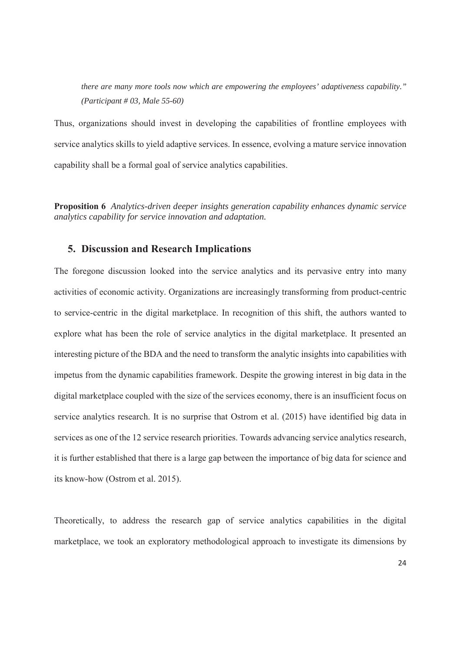*there are many more tools now which are empowering the employees' adaptiveness capability." (Participant # 03, Male 55-60)*

Thus, organizations should invest in developing the capabilities of frontline employees with service analytics skills to yield adaptive services. In essence, evolving a mature service innovation capability shall be a formal goal of service analytics capabilities.

**Proposition 6** *Analytics-driven deeper insights generation capability enhances dynamic service analytics capability for service innovation and adaptation.*

## **5. Discussion and Research Implications**

The foregone discussion looked into the service analytics and its pervasive entry into many activities of economic activity. Organizations are increasingly transforming from product-centric to service-centric in the digital marketplace. In recognition of this shift, the authors wanted to explore what has been the role of service analytics in the digital marketplace. It presented an interesting picture of the BDA and the need to transform the analytic insights into capabilities with impetus from the dynamic capabilities framework. Despite the growing interest in big data in the digital marketplace coupled with the size of the services economy, there is an insufficient focus on service analytics research. It is no surprise that Ostrom et al. (2015) have identified big data in services as one of the 12 service research priorities. Towards advancing service analytics research, it is further established that there is a large gap between the importance of big data for science and its know-how (Ostrom et al. 2015).

Theoretically, to address the research gap of service analytics capabilities in the digital marketplace, we took an exploratory methodological approach to investigate its dimensions by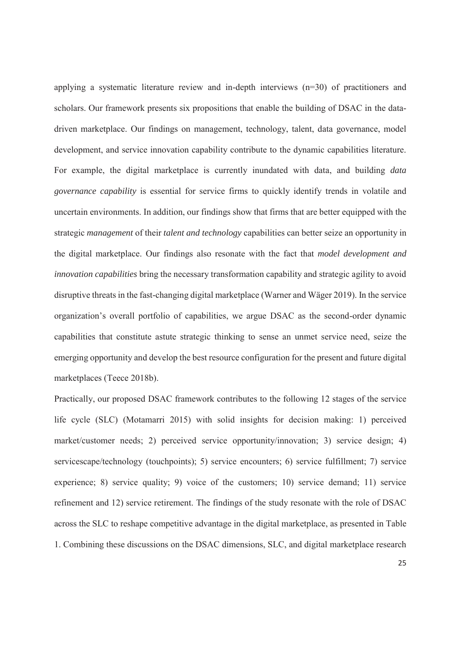applying a systematic literature review and in-depth interviews (n=30) of practitioners and scholars. Our framework presents six propositions that enable the building of DSAC in the datadriven marketplace. Our findings on management, technology, talent, data governance, model development, and service innovation capability contribute to the dynamic capabilities literature. For example, the digital marketplace is currently inundated with data, and building *data governance capability* is essential for service firms to quickly identify trends in volatile and uncertain environments. In addition, our findings show that firms that are better equipped with the strategic *management* of their *talent and technology* capabilities can better seize an opportunity in the digital marketplace. Our findings also resonate with the fact that *model development and innovation capabilities* bring the necessary transformation capability and strategic agility to avoid disruptive threats in the fast-changing digital marketplace (Warner and Wäger 2019). In the service organization's overall portfolio of capabilities, we argue DSAC as the second-order dynamic capabilities that constitute astute strategic thinking to sense an unmet service need, seize the emerging opportunity and develop the best resource configuration for the present and future digital marketplaces (Teece 2018b).

Practically, our proposed DSAC framework contributes to the following 12 stages of the service life cycle (SLC) (Motamarri 2015) with solid insights for decision making: 1) perceived market/customer needs; 2) perceived service opportunity/innovation; 3) service design; 4) servicescape/technology (touchpoints); 5) service encounters; 6) service fulfillment; 7) service experience; 8) service quality; 9) voice of the customers; 10) service demand; 11) service refinement and 12) service retirement. The findings of the study resonate with the role of DSAC across the SLC to reshape competitive advantage in the digital marketplace, as presented in Table 1. Combining these discussions on the DSAC dimensions, SLC, and digital marketplace research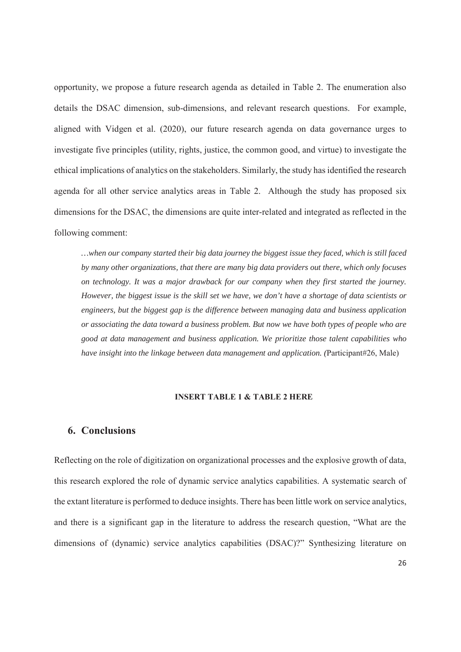opportunity, we propose a future research agenda as detailed in Table 2. The enumeration also details the DSAC dimension, sub-dimensions, and relevant research questions. For example, aligned with Vidgen et al. (2020), our future research agenda on data governance urges to investigate five principles (utility, rights, justice, the common good, and virtue) to investigate the ethical implications of analytics on the stakeholders. Similarly, the study has identified the research agenda for all other service analytics areas in Table 2. Although the study has proposed six dimensions for the DSAC, the dimensions are quite inter-related and integrated as reflected in the following comment:

*…when our company started their big data journey the biggest issue they faced, which is still faced by many other organizations, that there are many big data providers out there, which only focuses on technology. It was a major drawback for our company when they first started the journey. However, the biggest issue is the skill set we have, we don't have a shortage of data scientists or engineers, but the biggest gap is the difference between managing data and business application or associating the data toward a business problem. But now we have both types of people who are good at data management and business application. We prioritize those talent capabilities who have insight into the linkage between data management and application. (*Participant#26, Male)

## **INSERT TABLE 1 & TABLE 2 HERE**

## **6. Conclusions**

Reflecting on the role of digitization on organizational processes and the explosive growth of data, this research explored the role of dynamic service analytics capabilities. A systematic search of the extant literature is performed to deduce insights. There has been little work on service analytics, and there is a significant gap in the literature to address the research question, "What are the dimensions of (dynamic) service analytics capabilities (DSAC)?" Synthesizing literature on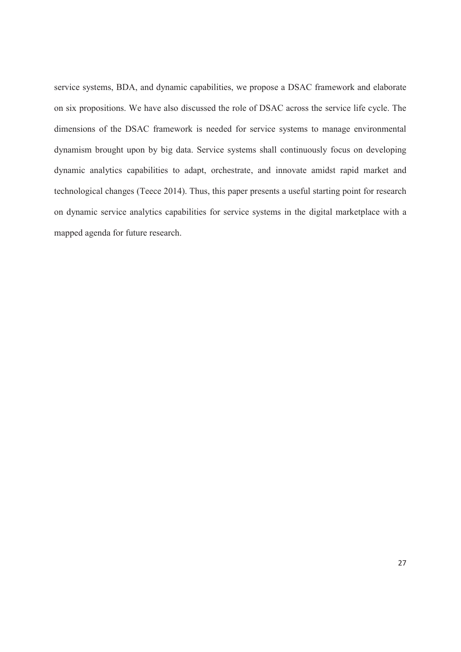service systems, BDA, and dynamic capabilities, we propose a DSAC framework and elaborate on six propositions. We have also discussed the role of DSAC across the service life cycle. The dimensions of the DSAC framework is needed for service systems to manage environmental dynamism brought upon by big data. Service systems shall continuously focus on developing dynamic analytics capabilities to adapt, orchestrate, and innovate amidst rapid market and technological changes (Teece 2014). Thus, this paper presents a useful starting point for research on dynamic service analytics capabilities for service systems in the digital marketplace with a mapped agenda for future research.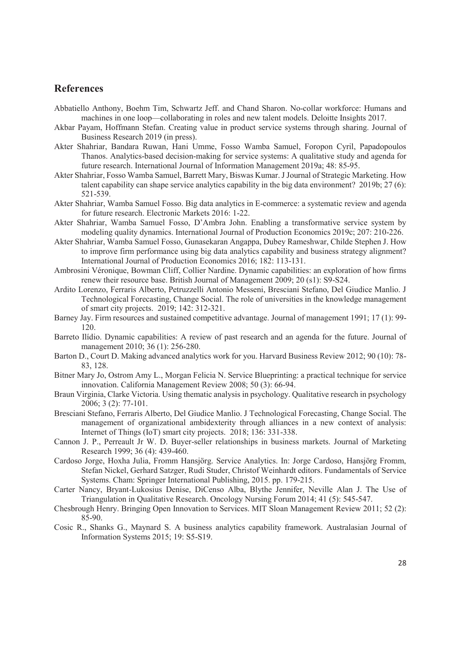## **References**

- Abbatiello Anthony, Boehm Tim, Schwartz Jeff. and Chand Sharon. No-collar workforce: Humans and machines in one loop—collaborating in roles and new talent models. Deloitte Insights 2017.
- Akbar Payam, Hoffmann Stefan. Creating value in product service systems through sharing. Journal of Business Research 2019 (in press).
- Akter Shahriar, Bandara Ruwan, Hani Umme, Fosso Wamba Samuel, Foropon Cyril, Papadopoulos Thanos. Analytics-based decision-making for service systems: A qualitative study and agenda for future research. International Journal of Information Management 2019a; 48: 85-95.
- Akter Shahriar, Fosso Wamba Samuel, Barrett Mary, Biswas Kumar. J Journal of Strategic Marketing. How talent capability can shape service analytics capability in the big data environment? 2019b; 27 (6): 521-539.
- Akter Shahriar, Wamba Samuel Fosso. Big data analytics in E-commerce: a systematic review and agenda for future research. Electronic Markets 2016: 1-22.
- Akter Shahriar, Wamba Samuel Fosso, D'Ambra John. Enabling a transformative service system by modeling quality dynamics. International Journal of Production Economics 2019c; 207: 210-226.
- Akter Shahriar, Wamba Samuel Fosso, Gunasekaran Angappa, Dubey Rameshwar, Childe Stephen J. How to improve firm performance using big data analytics capability and business strategy alignment? International Journal of Production Economics 2016; 182: 113-131.
- Ambrosini Véronique, Bowman Cliff, Collier Nardine. Dynamic capabilities: an exploration of how firms renew their resource base. British Journal of Management 2009; 20 (s1): S9-S24.
- Ardito Lorenzo, Ferraris Alberto, Petruzzelli Antonio Messeni, Bresciani Stefano, Del Giudice Manlio. J Technological Forecasting, Change Social. The role of universities in the knowledge management of smart city projects. 2019; 142: 312-321.
- Barney Jay. Firm resources and sustained competitive advantage. Journal of management 1991; 17 (1): 99- 120.
- Barreto Ilídio. Dynamic capabilities: A review of past research and an agenda for the future. Journal of management 2010; 36 (1): 256-280.
- Barton D., Court D. Making advanced analytics work for you. Harvard Business Review 2012; 90 (10): 78- 83, 128.
- Bitner Mary Jo, Ostrom Amy L., Morgan Felicia N. Service Blueprinting: a practical technique for service innovation. California Management Review 2008; 50 (3): 66-94.
- Braun Virginia, Clarke Victoria. Using thematic analysis in psychology. Qualitative research in psychology 2006; 3 (2): 77-101.
- Bresciani Stefano, Ferraris Alberto, Del Giudice Manlio. J Technological Forecasting, Change Social. The management of organizational ambidexterity through alliances in a new context of analysis: Internet of Things (IoT) smart city projects. 2018; 136: 331-338.
- Cannon J. P., Perreault Jr W. D. Buyer-seller relationships in business markets. Journal of Marketing Research 1999; 36 (4): 439-460.
- Cardoso Jorge, Hoxha Julia, Fromm Hansjörg. Service Analytics. In: Jorge Cardoso, Hansjörg Fromm, Stefan Nickel, Gerhard Satzger, Rudi Studer, Christof Weinhardt editors. Fundamentals of Service Systems. Cham: Springer International Publishing, 2015. pp. 179-215.
- Carter Nancy, Bryant-Lukosius Denise, DiCenso Alba, Blythe Jennifer, Neville Alan J. The Use of Triangulation in Qualitative Research. Oncology Nursing Forum 2014; 41 (5): 545-547.
- Chesbrough Henry. Bringing Open Innovation to Services. MIT Sloan Management Review 2011; 52 (2): 85-90.
- Cosic R., Shanks G., Maynard S. A business analytics capability framework. Australasian Journal of Information Systems 2015; 19: S5-S19.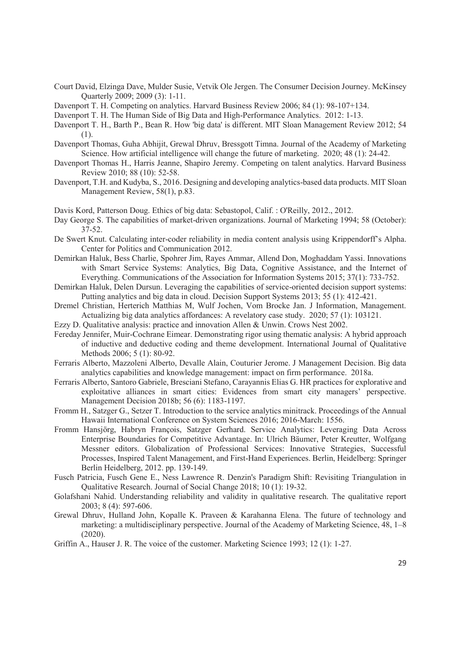- Court David, Elzinga Dave, Mulder Susie, Vetvik Ole Jergen. The Consumer Decision Journey. McKinsey Quarterly 2009; 2009 (3): 1-11.
- Davenport T. H. Competing on analytics. Harvard Business Review 2006; 84 (1): 98-107+134.
- Davenport T. H. The Human Side of Big Data and High-Performance Analytics. 2012: 1-13.
- Davenport T. H., Barth P., Bean R. How 'big data' is different. MIT Sloan Management Review 2012; 54 (1).
- Davenport Thomas, Guha Abhijit, Grewal Dhruv, Bressgott Timna. Journal of the Academy of Marketing Science. How artificial intelligence will change the future of marketing. 2020; 48 (1): 24-42.
- Davenport Thomas H., Harris Jeanne, Shapiro Jeremy. Competing on talent analytics. Harvard Business Review 2010; 88 (10): 52-58.
- Davenport, T.H. and Kudyba, S., 2016. Designing and developing analytics-based data products. MIT Sloan Management Review, 58(1), p.83.
- Davis Kord, Patterson Doug. Ethics of big data: Sebastopol, Calif. : O'Reilly, 2012., 2012.
- Day George S. The capabilities of market-driven organizations. Journal of Marketing 1994; 58 (October):  $37-52.$
- De Swert Knut. Calculating inter-coder reliability in media content analysis using Krippendorff's Alpha. Center for Politics and Communication 2012.
- Demirkan Haluk, Bess Charlie, Spohrer Jim, Rayes Ammar, Allend Don, Moghaddam Yassi. Innovations with Smart Service Systems: Analytics, Big Data, Cognitive Assistance, and the Internet of Everything. Communications of the Association for Information Systems 2015; 37(1): 733-752.
- Demirkan Haluk, Delen Dursun. Leveraging the capabilities of service-oriented decision support systems: Putting analytics and big data in cloud. Decision Support Systems 2013; 55 (1): 412-421.
- Dremel Christian, Herterich Matthias M, Wulf Jochen, Vom Brocke Jan. J Information, Management. Actualizing big data analytics affordances: A revelatory case study. 2020; 57 (1): 103121.
- Ezzy D. Qualitative analysis: practice and innovation Allen & Unwin. Crows Nest 2002.
- Fereday Jennifer, Muir-Cochrane Eimear. Demonstrating rigor using thematic analysis: A hybrid approach of inductive and deductive coding and theme development. International Journal of Qualitative Methods 2006; 5 (1): 80-92.
- Ferraris Alberto, Mazzoleni Alberto, Devalle Alain, Couturier Jerome. J Management Decision. Big data analytics capabilities and knowledge management: impact on firm performance. 2018a.
- Ferraris Alberto, Santoro Gabriele, Bresciani Stefano, Carayannis Elias G. HR practices for explorative and exploitative alliances in smart cities: Evidences from smart city managers' perspective. Management Decision 2018b; 56 (6): 1183-1197.
- Fromm H., Satzger G., Setzer T. Introduction to the service analytics minitrack. Proceedings of the Annual Hawaii International Conference on System Sciences 2016; 2016-March: 1556.
- Fromm Hansjörg, Habryn François, Satzger Gerhard. Service Analytics: Leveraging Data Across Enterprise Boundaries for Competitive Advantage. In: Ulrich Bäumer, Peter Kreutter, Wolfgang Messner editors. Globalization of Professional Services: Innovative Strategies, Successful Processes, Inspired Talent Management, and First-Hand Experiences. Berlin, Heidelberg: Springer Berlin Heidelberg, 2012. pp. 139-149.
- Fusch Patricia, Fusch Gene E., Ness Lawrence R. Denzin's Paradigm Shift: Revisiting Triangulation in Qualitative Research. Journal of Social Change 2018; 10 (1): 19-32.
- Golafshani Nahid. Understanding reliability and validity in qualitative research. The qualitative report 2003; 8 (4): 597-606.
- Grewal Dhruv, Hulland John, Kopalle K. Praveen & Karahanna Elena. The future of technology and marketing: a multidisciplinary perspective. Journal of the Academy of Marketing Science, 48, 1–8 (2020).
- Griffin A., Hauser J. R. The voice of the customer. Marketing Science 1993; 12 (1): 1-27.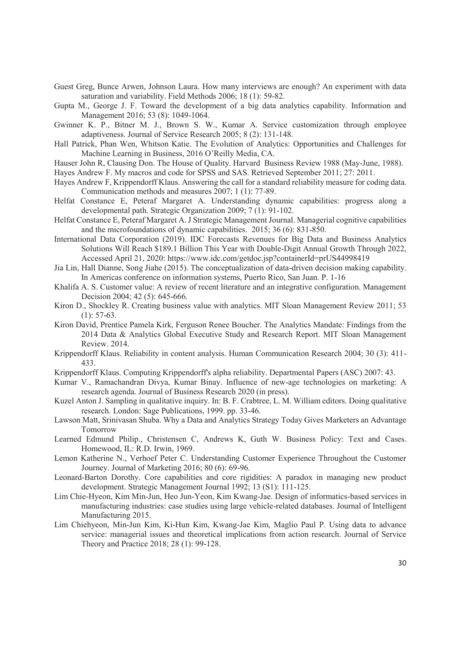- Guest Greg, Bunce Arwen, Johnson Laura. How many interviews are enough? An experiment with data saturation and variability. Field Methods 2006; 18 (1): 59-82.
- Gupta M., George J. F. Toward the development of a big data analytics capability. Information and Management 2016; 53 (8): 1049-1064.
- Gwinner K. P., Bitner M. J., Brown S. W., Kumar A. Service customization through employee adaptiveness. Journal of Service Research 2005; 8 (2): 131-148.
- Hall Patrick, Phan Wen, Whitson Katie. The Evolution of Analytics: Opportunities and Challenges for Machine Learning in Business, 2016 O'Reilly Media, CA.
- Hauser John R, Clausing Don. The House of Quality. Harvard Business Review 1988 (May-June, 1988).

Hayes Andrew F. My macros and code for SPSS and SAS. Retrieved September 2011; 27: 2011.

- Hayes Andrew F, Krippendorff Klaus. Answering the call for a standard reliability measure for coding data. Communication methods and measures 2007; 1 (1): 77-89.
- Helfat Constance E, Peteraf Margaret A. Understanding dynamic capabilities: progress along a developmental path. Strategic Organization 2009; 7 (1): 91-102.
- Helfat Constance E, Peteraf Margaret A. J Strategic Management Journal. Managerial cognitive capabilities and the microfoundations of dynamic capabilities. 2015; 36 (6): 831-850.
- International Data Corporation (2019). IDC Forecasts Revenues for Big Data and Business Analytics Solutions Will Reach \$189.1 Billion This Year with Double-Digit Annual Growth Through 2022, Accessed April 21, 2020: https://www.idc.com/getdoc.jsp?containerId=prUS44998419
- Jia Lin, Hall Dianne, Song Jiahe (2015). The conceptualization of data-driven decision making capability. In Americas conference on information systems, Puerto Rico, San Juan. P. 1-16
- Khalifa A. S. Customer value: A review of recent literature and an integrative configuration. Management Decision 2004; 42 (5): 645-666.
- Kiron D., Shockley R. Creating business value with analytics. MIT Sloan Management Review 2011; 53  $(1): 57-63.$
- Kiron David, Prentice Pamela Kirk, Ferguson Renee Boucher. The Analytics Mandate: Findings from the 2014 Data & Analytics Global Executive Study and Research Report. MIT Sloan Management Review. 2014.
- Krippendorff Klaus. Reliability in content analysis. Human Communication Research 2004; 30 (3): 411- 433.
- Krippendorff Klaus. Computing Krippendorff's alpha reliability. Departmental Papers (ASC) 2007: 43.
- Kumar V., Ramachandran Divya, Kumar Binay. Influence of new-age technologies on marketing: A research agenda. Journal of Business Research 2020 (in press).
- Kuzel Anton J. Sampling in qualitative inquiry. In: B. F. Crabtree, L. M. William editors. Doing qualitative research. London: Sage Publications, 1999. pp. 33-46.
- Lawson Matt, Srinivasan Shuba. Why a Data and Analytics Strategy Today Gives Marketers an Advantage Tomorrow
- Learned Edmund Philip., Christensen C, Andrews K, Guth W. Business Policy: Text and Cases. Homewood, IL: R.D. Irwin, 1969.
- Lemon Katherine N., Verhoef Peter C. Understanding Customer Experience Throughout the Customer Journey. Journal of Marketing 2016; 80 (6): 69-96.
- Leonard-Barton Dorothy. Core capabilities and core rigidities: A paradox in managing new product development. Strategic Management Journal 1992; 13 (S1): 111-125.
- Lim Chie-Hyeon, Kim Min-Jun, Heo Jun-Yeon, Kim Kwang-Jae. Design of informatics-based services in manufacturing industries: case studies using large vehicle-related databases. Journal of Intelligent Manufacturing 2015.
- Lim Chiehyeon, Min-Jun Kim, Ki-Hun Kim, Kwang-Jae Kim, Maglio Paul P. Using data to advance service: managerial issues and theoretical implications from action research. Journal of Service Theory and Practice 2018; 28 (1): 99-128.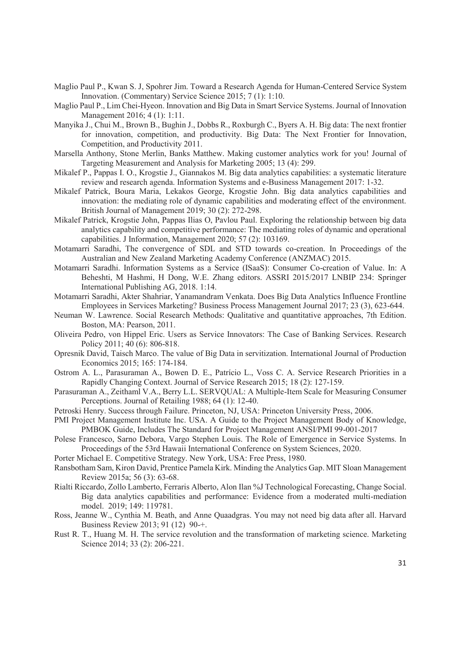- Maglio Paul P., Kwan S. J, Spohrer Jim. Toward a Research Agenda for Human-Centered Service System Innovation. (Commentary) Service Science 2015; 7 (1): 1:10.
- Maglio Paul P., Lim Chei-Hyeon. Innovation and Big Data in Smart Service Systems. Journal of Innovation Management 2016; 4 (1): 1:11.
- Manyika J., Chui M., Brown B., Bughin J., Dobbs R., Roxburgh C., Byers A. H. Big data: The next frontier for innovation, competition, and productivity. Big Data: The Next Frontier for Innovation, Competition, and Productivity 2011.
- Marsella Anthony, Stone Merlin, Banks Matthew. Making customer analytics work for you! Journal of Targeting Measurement and Analysis for Marketing 2005; 13 (4): 299.
- Mikalef P., Pappas I. O., Krogstie J., Giannakos M. Big data analytics capabilities: a systematic literature review and research agenda. Information Systems and e-Business Management 2017: 1-32.
- Mikalef Patrick, Boura Maria, Lekakos George, Krogstie John. Big data analytics capabilities and innovation: the mediating role of dynamic capabilities and moderating effect of the environment. British Journal of Management 2019; 30 (2): 272-298.
- Mikalef Patrick, Krogstie John, Pappas Ilias O, Pavlou Paul. Exploring the relationship between big data analytics capability and competitive performance: The mediating roles of dynamic and operational capabilities. J Information, Management 2020; 57 (2): 103169.
- Motamarri Saradhi, The convergence of SDL and STD towards co-creation. In Proceedings of the Australian and New Zealand Marketing Academy Conference (ANZMAC) 2015.
- Motamarri Saradhi. Information Systems as a Service (ISaaS): Consumer Co-creation of Value. In: A Beheshti, M Hashmi, H Dong, W.E. Zhang editors. ASSRI 2015/2017 LNBIP 234: Springer International Publishing AG, 2018. 1:14.
- Motamarri Saradhi, Akter Shahriar, Yanamandram Venkata. Does Big Data Analytics Influence Frontline Employees in Services Marketing? Business Process Management Journal 2017; 23 (3), 623-644.
- Neuman W. Lawrence. Social Research Methods: Qualitative and quantitative approaches, 7th Edition. Boston, MA: Pearson, 2011.
- Oliveira Pedro, von Hippel Eric. Users as Service Innovators: The Case of Banking Services. Research Policy 2011; 40 (6): 806-818.
- Opresnik David, Taisch Marco. The value of Big Data in servitization. International Journal of Production Economics 2015; 165: 174-184.
- Ostrom A. L., Parasuraman A., Bowen D. E., Patrício L., Voss C. A. Service Research Priorities in a Rapidly Changing Context. Journal of Service Research 2015; 18 (2): 127-159.
- Parasuraman A., Zeithaml V.A., Berry L.L. SERVQUAL: A Multiple-Item Scale for Measuring Consumer Perceptions. Journal of Retailing 1988; 64 (1): 12-40.
- Petroski Henry. Success through Failure. Princeton, NJ, USA: Princeton University Press, 2006.
- PMI Project Management Institute Inc. USA. A Guide to the Project Management Body of Knowledge, PMBOK Guide, Includes The Standard for Project Management ANSI/PMI 99-001-2017
- Polese Francesco, Sarno Debora, Vargo Stephen Louis. The Role of Emergence in Service Systems. In Proceedings of the 53rd Hawaii International Conference on System Sciences, 2020.
- Porter Michael E. Competitive Strategy. New York, USA: Free Press, 1980.
- Ransbotham Sam, Kiron David, Prentice Pamela Kirk. Minding the Analytics Gap. MIT Sloan Management Review 2015a; 56 (3): 63-68.
- Rialti Riccardo, Zollo Lamberto, Ferraris Alberto, Alon Ilan %J Technological Forecasting, Change Social. Big data analytics capabilities and performance: Evidence from a moderated multi-mediation model. 2019; 149: 119781.
- Ross, Jeanne W., Cynthia M. Beath, and Anne Quaadgras. You may not need big data after all. Harvard Business Review 2013; 91 (12) 90-+.
- Rust R. T., Huang M. H. The service revolution and the transformation of marketing science. Marketing Science 2014; 33 (2): 206-221.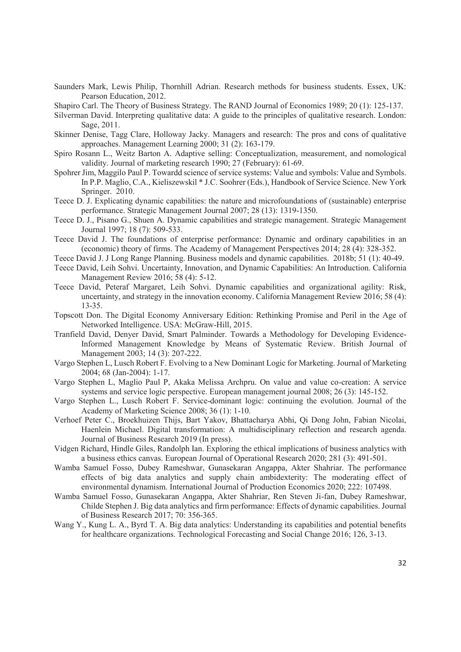- Saunders Mark, Lewis Philip, Thornhill Adrian. Research methods for business students. Essex, UK: Pearson Education, 2012.
- Shapiro Carl. The Theory of Business Strategy. The RAND Journal of Economics 1989; 20 (1): 125-137.
- Silverman David. Interpreting qualitative data: A guide to the principles of qualitative research. London: Sage, 2011.
- Skinner Denise, Tagg Clare, Holloway Jacky. Managers and research: The pros and cons of qualitative approaches. Management Learning 2000; 31 (2): 163-179.
- Spiro Rosann L., Weitz Barton A. Adaptive selling: Conceptualization, measurement, and nomological validity. Journal of marketing research 1990; 27 (February): 61-69.
- Spohrer Jim, Maggilo Paul P. Towardd science of service systems: Value and symbols: Value and Symbols. In P.P. Maglio, C.A., Kieliszewskil \* J.C. Soohrer (Eds.), Handbook of Service Science. New York Springer. 2010.
- Teece D. J. Explicating dynamic capabilities: the nature and microfoundations of (sustainable) enterprise performance. Strategic Management Journal 2007; 28 (13): 1319-1350.
- Teece D. J., Pisano G., Shuen A. Dynamic capabilities and strategic management. Strategic Management Journal 1997; 18 (7): 509-533.
- Teece David J. The foundations of enterprise performance: Dynamic and ordinary capabilities in an (economic) theory of firms. The Academy of Management Perspectives 2014; 28 (4): 328-352.
- Teece David J. J Long Range Planning. Business models and dynamic capabilities. 2018b; 51 (1): 40-49.
- Teece David, Leih Sohvi. Uncertainty, Innovation, and Dynamic Capabilities: An Introduction. California Management Review 2016; 58 (4): 5-12.
- Teece David, Peteraf Margaret, Leih Sohvi. Dynamic capabilities and organizational agility: Risk, uncertainty, and strategy in the innovation economy. California Management Review 2016; 58 (4): 13-35.
- Topscott Don. The Digital Economy Anniversary Edition: Rethinking Promise and Peril in the Age of Networked Intelligence. USA: McGraw-Hill, 2015.
- Tranfield David, Denyer David, Smart Palminder. Towards a Methodology for Developing Evidence-Informed Management Knowledge by Means of Systematic Review. British Journal of Management 2003; 14 (3): 207-222.
- Vargo Stephen L, Lusch Robert F. Evolving to a New Dominant Logic for Marketing. Journal of Marketing 2004; 68 (Jan-2004): 1-17.
- Vargo Stephen L, Maglio Paul P, Akaka Melissa Archpru. On value and value co-creation: A service systems and service logic perspective. European management journal 2008; 26 (3): 145-152.
- Vargo Stephen L., Lusch Robert F. Service-dominant logic: continuing the evolution. Journal of the Academy of Marketing Science 2008; 36 (1): 1-10.
- Verhoef Peter C., Broekhuizen Thijs, Bart Yakov, Bhattacharya Abhi, Qi Dong John, Fabian Nicolai, Haenlein Michael. Digital transformation: A multidisciplinary reflection and research agenda. Journal of Business Research 2019 (In press).
- Vidgen Richard, Hindle Giles, Randolph Ian. Exploring the ethical implications of business analytics with a business ethics canvas. European Journal of Operational Research 2020; 281 (3): 491-501.
- Wamba Samuel Fosso, Dubey Rameshwar, Gunasekaran Angappa, Akter Shahriar. The performance effects of big data analytics and supply chain ambidexterity: The moderating effect of environmental dynamism. International Journal of Production Economics 2020; 222: 107498.
- Wamba Samuel Fosso, Gunasekaran Angappa, Akter Shahriar, Ren Steven Ji-fan, Dubey Rameshwar, Childe Stephen J. Big data analytics and firm performance: Effects of dynamic capabilities. Journal of Business Research 2017; 70: 356-365.
- Wang Y., Kung L. A., Byrd T. A. Big data analytics: Understanding its capabilities and potential benefits for healthcare organizations. Technological Forecasting and Social Change 2016; 126, 3-13.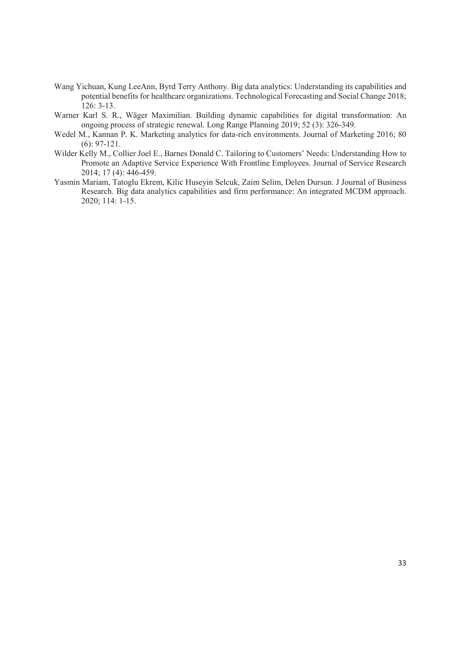- Wang Yichuan, Kung LeeAnn, Byrd Terry Anthony. Big data analytics: Understanding its capabilities and potential benefits for healthcare organizations. Technological Forecasting and Social Change 2018; 126: 3-13.
- Warner Karl S. R., Wäger Maximilian. Building dynamic capabilities for digital transformation: An ongoing process of strategic renewal. Long Range Planning 2019; 52 (3): 326-349.
- Wedel M., Kannan P. K. Marketing analytics for data-rich environments. Journal of Marketing 2016; 80 (6): 97-121.
- Wilder Kelly M., Collier Joel E., Barnes Donald C. Tailoring to Customers' Needs: Understanding How to Promote an Adaptive Service Experience With Frontline Employees. Journal of Service Research 2014; 17 (4): 446-459.
- Yasmin Mariam, Tatoglu Ekrem, Kilic Huseyin Selcuk, Zaim Selim, Delen Dursun. J Journal of Business Research. Big data analytics capabilities and firm performance: An integrated MCDM approach. 2020; 114: 1-15.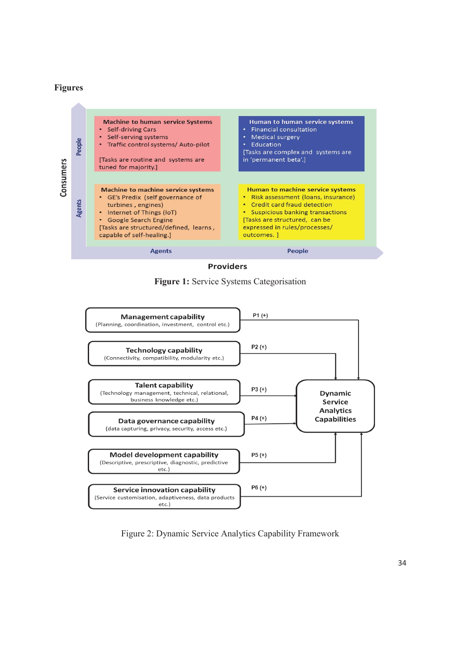## **Figures**



**Providers** 





Figure 2: Dynamic Service Analytics Capability Framework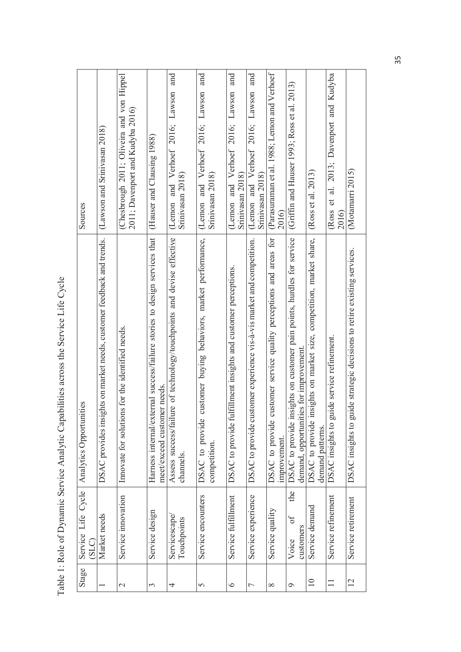Table 1: Role of Dynamic Service Analytic Capabilities across the Service Life Cycle Table 1: Role of Dynamic Service Analytic Capabilities across the Service Life Cycle

| Sources                                      | (Lawson and Srinivasan 2018)                                              | (Chesbrough 2011; Oliveira and von Hippel<br>2011; Davenport and Kudyba 2016) | (Hauser and Clausing 1988)                                                                              | and<br>Verhoef 2016; Lawson<br>Srinivasan 2018)<br>(Lemon and                           | and<br>Verhoef 2016; Lawson<br>Srinivasan 2018)<br>and<br>(Lemon                  | and<br>Verhoef 2016; Lawson<br>Srinivasan 2018)<br>and<br>(Lemon | and<br>(Lemon and Verhoef 2016; Lawson<br>Srinivasan 2018)            | (Parasuraman et al. 1988; Lemon and Verhoef<br>2016                                   | (Griffin and Hauser 1993; Ross et al. 2013)                                                                        | (Ross et al. 2013)                                                                         | 2013; Davenport and Kudyba<br>$\frac{1}{a}$<br>đ<br>Ross<br>2016) | (Motamarri 2015)                                                        |
|----------------------------------------------|---------------------------------------------------------------------------|-------------------------------------------------------------------------------|---------------------------------------------------------------------------------------------------------|-----------------------------------------------------------------------------------------|-----------------------------------------------------------------------------------|------------------------------------------------------------------|-----------------------------------------------------------------------|---------------------------------------------------------------------------------------|--------------------------------------------------------------------------------------------------------------------|--------------------------------------------------------------------------------------------|-------------------------------------------------------------------|-------------------------------------------------------------------------|
| Service Life Cycle   Analytics Opportunities | ights on market needs, customer feedback and trends.<br>DSAC provides ins | Innovate for solutions for the identified needs.                              | Harness internal/external success/failure stories to design services that<br>meet/exceed customer needs | lure of technology/touchpoints and devise effective<br>Assess success/fail<br>channels. | customer buying behaviors, market performance,<br>DSAC to provide<br>competition. | DSAC to provide fulfillment insights and customer perceptions.   | DSAC to provide customer experience vis-à-vis market and competition. | customer service quality perceptions and areas for<br>DSAC to provide<br>improvement. | insights on customer pain points, hurdles for service<br>demand, opportunities for improvement.<br>DSAC to provide | insights on market size, competition, market share,<br>DSAC to provide<br>demand patterns. | DSAC insights to guide service refinement.                        | DSAC insights to guide strategic decisions to retire existing services. |
| (SLC)                                        | Market needs                                                              | Service innovation                                                            | Service design                                                                                          | Servicescape<br>Touchpoints                                                             | Service encounters                                                                | Service fulfillment                                              | Service experience                                                    | Service quality                                                                       | the<br>J<br>customers<br>Voice                                                                                     | Service demand                                                                             | Service refinement                                                | Service retirement                                                      |
| Stage                                        |                                                                           | $\mathcal{C}$                                                                 | $\mathfrak{c}$                                                                                          | 4                                                                                       | 5                                                                                 | $\circ$                                                          | Γ                                                                     | $\infty$                                                                              | $\circ$                                                                                                            | $\overline{10}$                                                                            | $\Box$                                                            | 12                                                                      |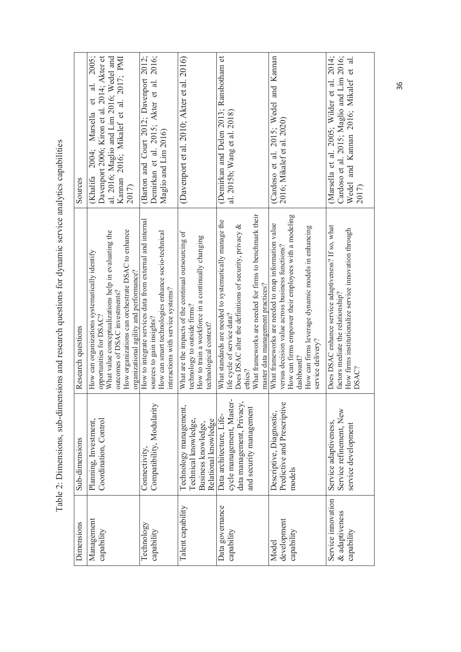Table 2: Dimensions, sub-dimensions and research questions for dynamic service analytics capabilities Table 2: Dimensions, sub-dimensions and research questions for dynamic service analytics capabilities

| Sources            | 2005;<br>Davenport 2006; Kiron et al. 2014; Akter et<br>al. 2016; Maglio and Lim 2016; Wedel and<br>Kannan 2016; Mikalef et al. 2017; PMI<br>$\overline{a}$ .<br>đ<br>Marsella<br>2004;<br><b>Khalifa</b><br>2017)                                                | (Barton and Court 2012; Davenport 2012;<br>Demirkan et al. 2015; Akter et al. 2016;<br>Maglio and Lim 2016)                                                                        | (Davenport et al. 2010; Akter et al. 2016)                                                                                                                           | (Demirkan and Delen 2013; Ransbotham et<br>al. 2015b; Wang et al. 2018)                                                                                                                                                                                    | (Cardoso et al. 2015; Wedel and Kannan<br>2016; Mikalef et al. 2020)                                                                                                                                                                                      | (Marsella et al. 2005; Wilder et al. 2014;<br>Cardoso et al. 2015; Maglio and Lim 2016;<br>Wedel and Kannan 2016; Mikalef et al.<br>2017)                  |
|--------------------|-------------------------------------------------------------------------------------------------------------------------------------------------------------------------------------------------------------------------------------------------------------------|------------------------------------------------------------------------------------------------------------------------------------------------------------------------------------|----------------------------------------------------------------------------------------------------------------------------------------------------------------------|------------------------------------------------------------------------------------------------------------------------------------------------------------------------------------------------------------------------------------------------------------|-----------------------------------------------------------------------------------------------------------------------------------------------------------------------------------------------------------------------------------------------------------|------------------------------------------------------------------------------------------------------------------------------------------------------------|
| Research questions | How organizations can orchestrate DSAC to enhance<br>What value conceptualizations help in evaluating the<br>How can organizations systematically identify<br>organizational agility and performance?<br>outcomes of DSAC investments?<br>opportunities for DSAC? | How to integrate services data from external and internal<br>How can smart technologies enhance socio-technical<br>interactions with service systems?<br>sources to gain insights? | What are the impacts of the continual outsourcing of<br>How to train a workforce in a continually changing<br>technology to outside firms?<br>technological context? | What frameworks are needed for firms to benchmark their<br>What standards are needed to systematically manage the<br>Does DSAC alter the definitions of security, privacy &<br>master data management practices?<br>life cycle of service data?<br>ethics? | How can firms empower their employees with a modeling<br>What frameworks are needed to map information value<br>How can firms leverage dynamic models in enhancing<br>versus decision value across business functions?<br>service delivery?<br>dashboard? | Does DSAC enhance service adaptiveness? If so, what<br>How firms institutionalize service innovation through<br>factors mediate the relationship?<br>DSAC? |
| Sub-dimensions     | Coordination, Control<br>Planning, Investment,                                                                                                                                                                                                                    | Compatibility, Modularity<br>Connectivity,                                                                                                                                         | Technology management,<br>Technical knowledge,<br>Relational knowledge<br>Business knowledge,                                                                        | cycle management, Master-<br>data management, Privacy,<br>and security management<br>Data architecture, Life-                                                                                                                                              | Predictive and Prescriptive<br>Descriptive, Diagnostic,<br>models                                                                                                                                                                                         | Service refinement, New<br>Service adaptiveness,<br>service development                                                                                    |
| Dimensions         | Management<br>capability                                                                                                                                                                                                                                          | Technology<br>capability                                                                                                                                                           | Talent capability                                                                                                                                                    | Data governance<br>capability                                                                                                                                                                                                                              | development<br>capability<br>Model                                                                                                                                                                                                                        | Service innovation<br>& adaptiveness<br>capability                                                                                                         |

36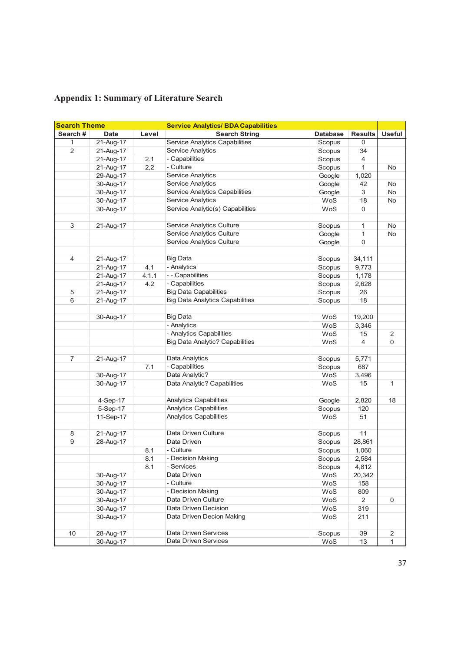| <b>Search Theme</b> |             |       | <b>Service Analytics/ BDA Capabilities</b> |                 |                |                |
|---------------------|-------------|-------|--------------------------------------------|-----------------|----------------|----------------|
| Search#             | <b>Date</b> | Level | <b>Search String</b>                       | <b>Database</b> | <b>Results</b> | <b>Useful</b>  |
| 1                   | 21-Aug-17   |       | <b>Service Analytics Capabilities</b>      | Scopus          | 0              |                |
| $\overline{2}$      | 21-Aug-17   |       | Service Analytics                          | Scopus          | 34             |                |
|                     | 21-Aug-17   | 2.1   | - Capabilities                             | Scopus          | 4              |                |
|                     | 21-Aug-17   | 2,2   | - Culture                                  | Scopus          | 1              | No             |
|                     | 29-Aug-17   |       | Service Analytics                          | Google          | 1,020          |                |
|                     | 30-Aug-17   |       | Service Analytics                          | Google          | 42             | No             |
|                     | 30-Aug-17   |       | Service Analytics Capabilities             | Google          | 3              | No             |
|                     | 30-Aug-17   |       | Service Analytics                          | WoS             | 18             | No             |
|                     | 30-Aug-17   |       | Service Analytic(s) Capabilities           | WoS             | 0              |                |
|                     |             |       |                                            |                 |                |                |
| 3                   | 21-Aug-17   |       | Service Analytics Culture                  | Scopus          | 1              | No             |
|                     |             |       | Service Analytics Culture                  | Google          | 1              | No             |
|                     |             |       | Service Analytics Culture                  | Google          | 0              |                |
|                     |             |       |                                            |                 |                |                |
| 4                   | 21-Aug-17   |       | <b>Big Data</b>                            | Scopus          | 34,111         |                |
|                     | 21-Aug-17   | 4.1   | - Analytics                                | Scopus          | 9,773          |                |
|                     | 21-Aug-17   | 4.1.1 | - - Capabilities                           | Scopus          | 1,178          |                |
|                     | 21-Aug-17   | 4.2   | - Capabilities                             | Scopus          | 2,628          |                |
| $\,$ 5 $\,$         | 21-Aug-17   |       | <b>Big Data Capabilities</b>               | Scopus          | 26             |                |
| 6                   | 21-Aug-17   |       | <b>Big Data Analytics Capabilities</b>     | Scopus          | 18             |                |
|                     |             |       |                                            |                 |                |                |
|                     | 30-Aug-17   |       | <b>Big Data</b>                            | WoS             | 19,200         |                |
|                     |             |       | - Analytics                                | WoS             | 3,346          |                |
|                     |             |       | - Analytics Capabilities                   | WoS             | 15             | $\overline{2}$ |
|                     |             |       | <b>Big Data Analytic? Capabilities</b>     | WoS             | 4              | 0              |
|                     |             |       |                                            |                 |                |                |
| $\overline{7}$      | 21-Aug-17   |       | Data Analytics                             | Scopus          | 5,771          |                |
|                     |             | 7.1   | - Capabilities                             | Scopus          | 687            |                |
|                     | 30-Aug-17   |       | Data Analytic?                             | WoS             | 3,496          |                |
|                     | 30-Aug-17   |       | Data Analytic? Capabilities                | WoS             | 15             | 1              |
|                     |             |       |                                            |                 |                |                |
|                     | 4-Sep-17    |       | Analytics Capabilities                     | Google          | 2,820          | 18             |
|                     | 5-Sep-17    |       | <b>Analytics Capabilities</b>              | Scopus          | 120            |                |
|                     | 11-Sep-17   |       | Analytics Capabilities                     | WoS             | 51             |                |
|                     |             |       |                                            |                 |                |                |
| 8                   | 21-Aug-17   |       | Data Driven Culture                        | Scopus          | 11             |                |
| $\boldsymbol{9}$    | 28-Aug-17   |       | Data Driven                                | Scopus          | 28,861         |                |
|                     |             | 8.1   | - Culture                                  | Scopus          | 1,060          |                |
|                     |             | 8.1   | - Decision Making                          | Scopus          | 2,584          |                |
|                     |             | 8.1   | - Services                                 | Scopus          | 4,812          |                |
|                     | 30-Aug-17   |       | Data Driven                                | WoS             | 20,342         |                |
|                     | 30-Aug-17   |       | - Culture                                  | WoS             | 158            |                |
|                     | 30-Aug-17   |       | - Decision Making                          | WoS             | 809            |                |
|                     | 30-Aug-17   |       | Data Driven Culture                        | WoS             | $\overline{2}$ | 0              |
|                     | 30-Aug-17   |       | Data Driven Decision                       | WoS             | 319            |                |
|                     | 30-Aug-17   |       | Data Driven Decion Making                  | WoS             | 211            |                |
|                     |             |       |                                            |                 |                |                |
| 10                  | 28-Aug-17   |       | <b>Data Driven Services</b>                | Scopus          | 39             | 2              |
|                     | 30-Aug-17   |       | Data Driven Services                       | WoS             | 13             | 1              |

# **Appendix 1: Summary of Literature Search**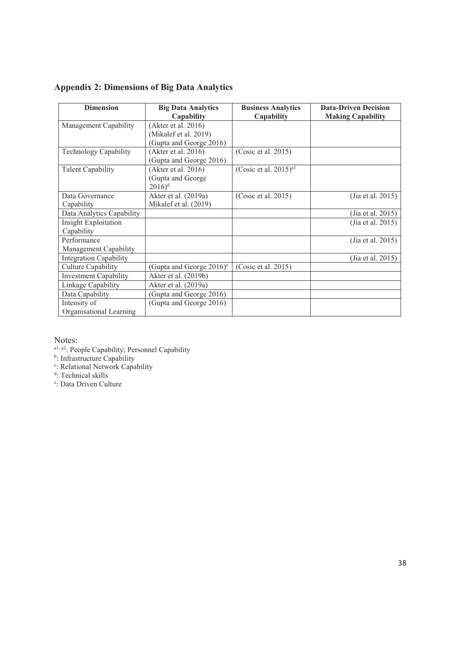| <b>Appendix 2: Dimensions of Big Data Analytics</b> |  |  |  |  |
|-----------------------------------------------------|--|--|--|--|
|-----------------------------------------------------|--|--|--|--|

| <b>Dimension</b>              | <b>Big Data Analytics</b>            | <b>Business Analytics</b>            | <b>Data-Driven Decision</b> |
|-------------------------------|--------------------------------------|--------------------------------------|-----------------------------|
|                               | Capability                           | Capability                           | <b>Making Capability</b>    |
| Management Capability         | (Akter et al. 2016)                  |                                      |                             |
|                               | (Mikalef et al. 2019)                |                                      |                             |
|                               | (Gupta and George 2016)              |                                      |                             |
| Technology Capability         | (Akter et al. 2016)                  | (Cosic et al. 2015)                  |                             |
|                               | (Gupta and George 2016)              |                                      |                             |
| <b>Talent Capability</b>      | (Akter et al. 2016)                  | (Cosic et al. $2015$ ) <sup>a1</sup> |                             |
|                               | (Gupta and George                    |                                      |                             |
|                               | $2016$ <sup>d</sup>                  |                                      |                             |
| Data Governance               | Akter et al. (2019a)                 | (Cosic et al. 2015)                  | (Jia et al. 2015)           |
| Capability                    | Mikalef et al. (2019)                |                                      |                             |
| Data Analytics Capability     |                                      |                                      | (Jia et al. 2015)           |
| <b>Insight Exploitation</b>   |                                      |                                      | (Jia et al. 2015)           |
| Capability                    |                                      |                                      |                             |
| Performance                   |                                      |                                      | (Jia et al. 2015)           |
| Management Capability         |                                      |                                      |                             |
| <b>Integration Capability</b> |                                      |                                      | (Jia et al. 2015)           |
| Culture Capability            | (Gupta and George 2016) <sup>e</sup> | (Cosic et al. 2015)                  |                             |
| <b>Investment Capability</b>  | Akter et al. (2019b)                 |                                      |                             |
| Linkage Capability            | Akter et al. (2019a)                 |                                      |                             |
| Data Capability               | (Gupta and George 2016)              |                                      |                             |
| Intensity of                  | (Gupta and George 2016)              |                                      |                             |
| Organisational Learning       |                                      |                                      |                             |

Notes:

a<sup>1, a2</sup>: People Capability; Personnel Capability<br><sup>b</sup>: Infrastructure Capability<br><sup>c</sup>: Relational Network Capability<br><sup>d</sup>: Technical skills<br><sup>e</sup>: Data Driven Culture